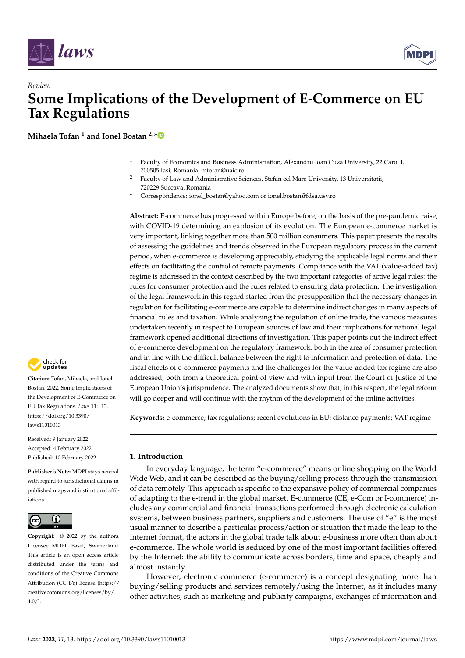



**Mihaela Tofan <sup>1</sup> and Ionel Bostan 2,[\\*](https://orcid.org/0000-0002-7653-7192)**

- <sup>1</sup> Faculty of Economics and Business Administration, Alexandru Ioan Cuza University, 22 Carol I, 700505 Iasi, Romania; mtofan@uaic.ro
- <sup>2</sup> Faculty of Law and Administrative Sciences, Ștefan cel Mare University, 13 Universitatii, 720229 Suceava, Romania
- **\*** Correspondence: ionel\_bostan@yahoo.com or ionel.bostan@fdsa.usv.ro

**Abstract:** E-commerce has progressed within Europe before, on the basis of the pre-pandemic raise, with COVID-19 determining an explosion of its evolution. The European e-commerce market is very important, linking together more than 500 million consumers. This paper presents the results of assessing the guidelines and trends observed in the European regulatory process in the current period, when e-commerce is developing appreciably, studying the applicable legal norms and their effects on facilitating the control of remote payments. Compliance with the VAT (value-added tax) regime is addressed in the context described by the two important categories of active legal rules: the rules for consumer protection and the rules related to ensuring data protection. The investigation of the legal framework in this regard started from the presupposition that the necessary changes in regulation for facilitating e-commerce are capable to determine indirect changes in many aspects of financial rules and taxation. While analyzing the regulation of online trade, the various measures undertaken recently in respect to European sources of law and their implications for national legal framework opened additional directions of investigation. This paper points out the indirect effect of e-commerce development on the regulatory framework, both in the area of consumer protection and in line with the difficult balance between the right to information and protection of data. The fiscal effects of e-commerce payments and the challenges for the value-added tax regime are also addressed, both from a theoretical point of view and with input from the Court of Justice of the European Union's jurisprudence. The analyzed documents show that, in this respect, the legal reform will go deeper and will continue with the rhythm of the development of the online activities.

**Keywords:** e-commerce; tax regulations; recent evolutions in EU; distance payments; VAT regime

## **1. Introduction**

In everyday language, the term "e-commerce" means online shopping on the World Wide Web, and it can be described as the buying/selling process through the transmission of data remotely. This approach is specific to the expansive policy of commercial companies of adapting to the e-trend in the global market. E-commerce (CE, e-Com or I-commerce) includes any commercial and financial transactions performed through electronic calculation systems, between business partners, suppliers and customers. The use of "e" is the most usual manner to describe a particular process/action or situation that made the leap to the internet format, the actors in the global trade talk about e-business more often than about e-commerce. The whole world is seduced by one of the most important facilities offered by the Internet: the ability to communicate across borders, time and space, cheaply and almost instantly.

However, electronic commerce (e-commerce) is a concept designating more than buying/selling products and services remotely/using the Internet, as it includes many other activities, such as marketing and publicity campaigns, exchanges of information and



**Citation:** Tofan, Mihaela, and Ionel Bostan. 2022. Some Implications of the Development of E-Commerce on EU Tax Regulations. *Laws* 11: 13. [https://doi.org/10.3390/](https://doi.org/10.3390/laws11010013) [laws11010013](https://doi.org/10.3390/laws11010013)

Received: 9 January 2022 Accepted: 4 February 2022 Published: 10 February 2022

**Publisher's Note:** MDPI stays neutral with regard to jurisdictional claims in published maps and institutional affiliations.



**Copyright:** © 2022 by the authors. Licensee MDPI, Basel, Switzerland. This article is an open access article distributed under the terms and conditions of the Creative Commons Attribution (CC BY) license [\(https://](https://creativecommons.org/licenses/by/4.0/) [creativecommons.org/licenses/by/](https://creativecommons.org/licenses/by/4.0/)  $4.0/$ ).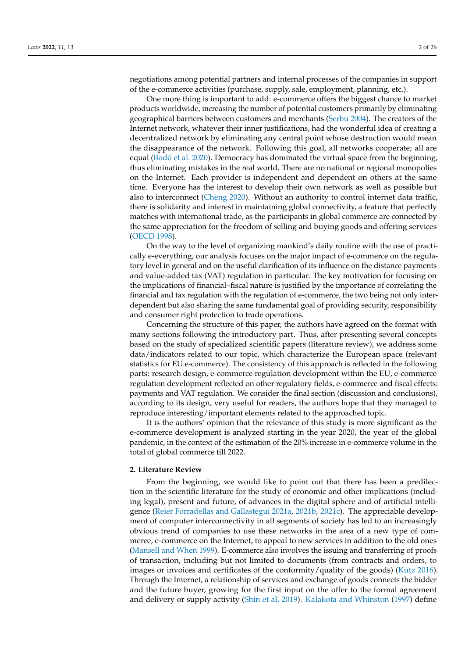negotiations among potential partners and internal processes of the companies in support of the e-commerce activities (purchase, supply, sale, employment, planning, etc.).

One more thing is important to add: e-commerce offers the biggest chance to market products worldwide, increasing the number of potential customers primarily by eliminating geographical barriers between customers and merchants (S[erbu](#page-25-0) [2004\)](#page-25-0). The creators of the Internet network, whatever their inner justifications, had the wonderful idea of creating a decentralized network by eliminating any central point whose destruction would mean the disappearance of the network. Following this goal, all networks cooperate; all are equal (Bodó [et al.](#page-22-0) [2020\)](#page-22-0). Democracy has dominated the virtual space from the beginning, thus eliminating mistakes in the real world. There are no national or regional monopolies on the Internet. Each provider is independent and dependent on others at the same time. Everyone has the interest to develop their own network as well as possible but also to interconnect [\(Cheng](#page-22-1) [2020\)](#page-22-1). Without an authority to control internet data traffic, there is solidarity and interest in maintaining global connectivity, a feature that perfectly matches with international trade, as the participants in global commerce are connected by the same appreciation for the freedom of selling and buying goods and offering services [\(OECD](#page-24-0) [1998\)](#page-24-0).

On the way to the level of organizing mankind's daily routine with the use of practically e-everything, our analysis focuses on the major impact of e-commerce on the regulatory level in general and on the useful clarification of its influence on the distance payments and value-added tax (VAT) regulation in particular. The key motivation for focusing on the implications of financial–fiscal nature is justified by the importance of correlating the financial and tax regulation with the regulation of e-commerce, the two being not only interdependent but also sharing the same fundamental goal of providing security, responsibility and consumer right protection to trade operations.

Concerning the structure of this paper, the authors have agreed on the format with many sections following the introductory part. Thus, after presenting several concepts based on the study of specialized scientific papers (literature review), we address some data/indicators related to our topic, which characterize the European space (relevant statistics for EU e-commerce). The consistency of this approach is reflected in the following parts: research design, e-commerce regulation development within the EU, e-commerce regulation development reflected on other regulatory fields, e-commerce and fiscal effects: payments and VAT regulation. We consider the final section (discussion and conclusions), according to its design, very useful for readers, the authors hope that they managed to reproduce interesting/important elements related to the approached topic.

It is the authors' opinion that the relevance of this study is more significant as the e-commerce development is analyzed starting in the year 2020, the year of the global pandemic, in the context of the estimation of the 20% increase in e-commerce volume in the total of global commerce till 2022.

#### **2. Literature Review**

From the beginning, we would like to point out that there has been a predilection in the scientific literature for the study of economic and other implications (including legal), present and future, of advances in the digital sphere and of artificial intelligence [\(Reier Forradellas and Gallastegui](#page-24-1) [2021a,](#page-24-1) [2021b,](#page-24-2) [2021c\)](#page-24-3). The appreciable development of computer interconnectivity in all segments of society has led to an increasingly obvious trend of companies to use these networks in the area of a new type of commerce, e-commerce on the Internet, to appeal to new services in addition to the old ones [\(Mansell and When](#page-24-4) [1999\)](#page-24-4). E-commerce also involves the issuing and transferring of proofs of transaction, including but not limited to documents (from contracts and orders, to images or invoices and certificates of the conformity/quality of the goods) [\(Kutz](#page-24-5) [2016\)](#page-24-5). Through the Internet, a relationship of services and exchange of goods connects the bidder and the future buyer, growing for the first input on the offer to the formal agreement and delivery or supply activity [\(Shin et al.](#page-25-1) [2019\)](#page-25-1). [Kalakota and Whinston](#page-24-6) [\(1997\)](#page-24-6) define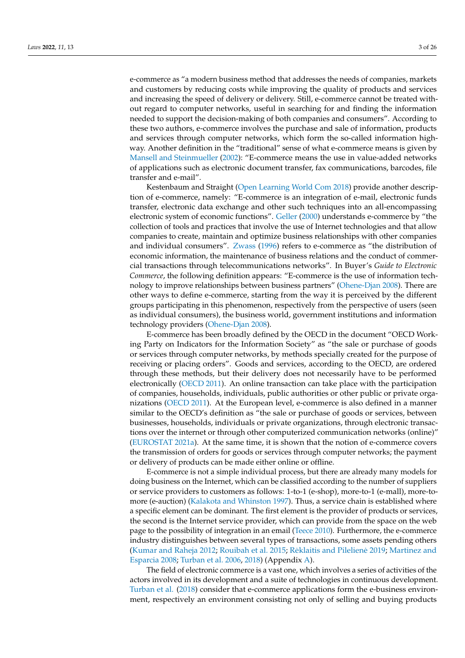e-commerce as "a modern business method that addresses the needs of companies, markets and customers by reducing costs while improving the quality of products and services and increasing the speed of delivery or delivery. Still, e-commerce cannot be treated without regard to computer networks, useful in searching for and finding the information needed to support the decision-making of both companies and consumers". According to these two authors, e-commerce involves the purchase and sale of information, products and services through computer networks, which form the so-called information highway. Another definition in the "traditional" sense of what e-commerce means is given by [Mansell and Steinmueller](#page-24-7) [\(2002\)](#page-24-7): "E-commerce means the use in value-added networks of applications such as electronic document transfer, fax communications, barcodes, file transfer and e-mail".

Kestenbaum and Straight [\(Open Learning World Com](#page-24-8) [2018\)](#page-24-8) provide another description of e-commerce, namely: "E-commerce is an integration of e-mail, electronic funds transfer, electronic data exchange and other such techniques into an all-encompassing electronic system of economic functions". [Geller](#page-23-0) [\(2000\)](#page-23-0) understands e-commerce by "the collection of tools and practices that involve the use of Internet technologies and that allow companies to create, maintain and optimize business relationships with other companies and individual consumers". [Zwass](#page-25-2) [\(1996\)](#page-25-2) refers to e-commerce as "the distribution of economic information, the maintenance of business relations and the conduct of commercial transactions through telecommunications networks". In Buyer's *Guide to Electronic Commerce*, the following definition appears: "E-commerce is the use of information technology to improve relationships between business partners" [\(Ohene-Djan](#page-24-9) [2008\)](#page-24-9). There are other ways to define e-commerce, starting from the way it is perceived by the different groups participating in this phenomenon, respectively from the perspective of users (seen as individual consumers), the business world, government institutions and information technology providers [\(Ohene-Djan](#page-24-9) [2008\)](#page-24-9).

E-commerce has been broadly defined by the OECD in the document "OECD Working Party on Indicators for the Information Society" as "the sale or purchase of goods or services through computer networks, by methods specially created for the purpose of receiving or placing orders". Goods and services, according to the OECD, are ordered through these methods, but their delivery does not necessarily have to be performed electronically [\(OECD](#page-24-10) [2011\)](#page-24-10). An online transaction can take place with the participation of companies, households, individuals, public authorities or other public or private organizations [\(OECD](#page-24-10) [2011\)](#page-24-10). At the European level, e-commerce is also defined in a manner similar to the OECD's definition as "the sale or purchase of goods or services, between businesses, households, individuals or private organizations, through electronic transactions over the internet or through other computerized communication networks (online)" [\(EUROSTAT](#page-23-1) [2021a\)](#page-23-1). At the same time, it is shown that the notion of e-commerce covers the transmission of orders for goods or services through computer networks; the payment or delivery of products can be made either online or offline.

E-commerce is not a simple individual process, but there are already many models for doing business on the Internet, which can be classified according to the number of suppliers or service providers to customers as follows: 1-to-1 (e-shop), more-to-1 (e-mall), more-tomore (e-auction) [\(Kalakota and Whinston](#page-24-6) [1997\)](#page-24-6). Thus, a service chain is established where a specific element can be dominant. The first element is the provider of products or services, the second is the Internet service provider, which can provide from the space on the web page to the possibility of integration in an email [\(Teece](#page-25-3) [2010\)](#page-25-3). Furthermore, the e-commerce industry distinguishes between several types of transactions, some assets pending others [\(Kumar and Raheja](#page-24-11) [2012;](#page-24-11) [Rouibah et al.](#page-24-12) [2015;](#page-24-12) [Reklaitis and Pilelien](#page-24-13)e [2019;](#page-24-13) [Martinez and](#page-24-14) [Esparcia](#page-24-14) [2008;](#page-24-14) [Turban et al.](#page-25-4) [2006,](#page-25-4) [2018\)](#page-25-5) (Appendix [A\)](#page-20-0).

The field of electronic commerce is a vast one, which involves a series of activities of the actors involved in its development and a suite of technologies in continuous development. [Turban et al.](#page-25-5) [\(2018\)](#page-25-5) consider that e-commerce applications form the e-business environment, respectively an environment consisting not only of selling and buying products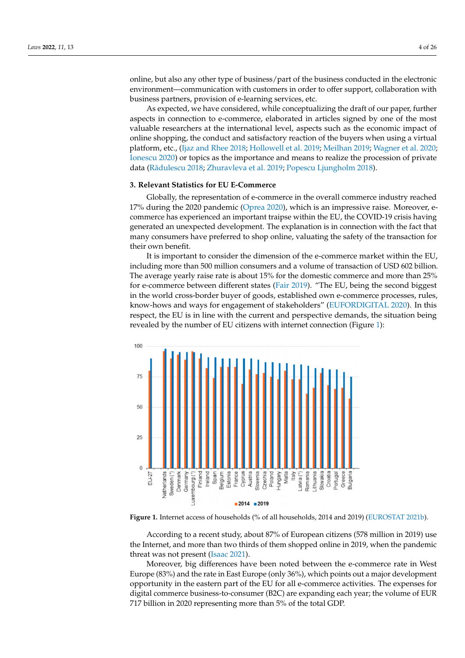online, but also any other type of business/part of the business conducted in the electronic environment—communication with customers in order to offer support, collaboration with business partners, provision of e-learning services, etc.

As expected, we have considered, while conceptualizing the draft of our paper, further aspects in connection to e-commerce, elaborated in articles signed by one of the most valuable researchers at the international level, aspects such as the economic impact of online shopping, the conduct and satisfactory reaction of the buyers when using a virtual online shopping, the conduct and satisfactory reaction of the buyers when using a virtual platform, etc., [\(Ijaz and Rhee](#page-24-15) [2018;](#page-24-15) [Hollowell et al.](#page-23-2) [2019;](#page-23-2) [Meilhan](#page-24-16) [2019;](#page-24-16) [Wagner et al.](#page-25-6) [2020;](#page-25-6) platform, etc., (Ijaz and Rhee 2018; Hollowell et al. 2019; Meilhan 2019; Wagner et al. 2020; [Ionescu](#page-24-17) [2020\)](#page-24-17) or topics as the importance and means to realize the procession of private Ionescu 2020) or topics as the importance and means to realize the procession of private data (Ră[dulescu](#page-24-18) [2018;](#page-24-18) [Zhuravleva et al.](#page-25-7) [2019;](#page-25-7) [Popescu Ljungholm](#page-24-19) [2018\)](#page-24-19). data (Rădulescu 2018; Zhuravleva et al. 2019; Popescu Ljungholm 2018).

## **3. Relevant Statistics for EU E-Commerce 3. Relevant Statistics for EU E-Commerce**

Globally, the representation of e-commerce in the overall commerce industry reached Globally, the representation of e-commerce in the overall commerce industry reached 17% during the 2020 pandemic (Oprea 2020), which is an impressive raise. Moreover, e-17% during the 2020 pandemic [\(Oprea 2020](#page-24-20)), which is an impressive raise. Moreover, ecommerce has experienced an important traipse within the EU, the COVID-19 crisis having generated an unexpected development. The explanation is in connection with the fact that many consumers have preferred to shop online, valuating the safety of the transaction for their own benefit.

It is important to consider the dimension of the e-commerce market within the EU, It is important to consider the dimension of the e-commerce market within the EU, including more than 500 million consumers and a volume of transaction of USD 602 billion. The average yearly raise rate is about  $15\%$  for the domestic commerce and more than  $25\%$ for e-commerce between different states [\(Fair](#page-23-3) [2019\)](#page-23-3). "The EU, being the second biggest in the world cross-border buyer of goods, established own e-commerce processes, rules, know-hows and ways for engagement of stakeholders" [\(EUFORDIGITAL](#page-22-2) [2020\)](#page-22-2). In this respect, the EU is in line with the current and perspective demands, the situation being revealed by the number of EU citizens with internet connection (Figure [1\)](#page-3-0):

<span id="page-3-0"></span>

**Figure 1.** Internet access of households (% of all households, 2014 and 2019[\) \(EUROSTAT 2021](#page-23-4)b). **Figure 1.** Internet access of households (% of all households, 2014 and 2019) (EUROSTAT 2021b).

According to a recent study, about 87% of European citizens (578 million in 2019) use According to a recent study, about 87% of European citizens (578 million in 2019) use the Internet, and more than two thirds of them shopped online in 2019, when the pandemic threat was not present [\(Isaac](#page-24-21) [2021\)](#page-24-21).

Moreover, big differences have been noted between the e-commerce rate in West Eu-Moreover, big differences have been noted between the e-commerce rate in West Europe (83%) and the rate in East Europe (only 36%), which points out a major development opportunity in the eastern part of the EU for all e-commerce activities. The expenses for opportunity in the eastern part of the EU for all e-commerce activities. The expenses for digital commerce business-to-consumer (B2C) are expanding each year; the volume of digital commerce business-to-consumer (B2C) are expanding each year; the volume of EUR 717 billion in 2020 representing more than 5% of the total GDP.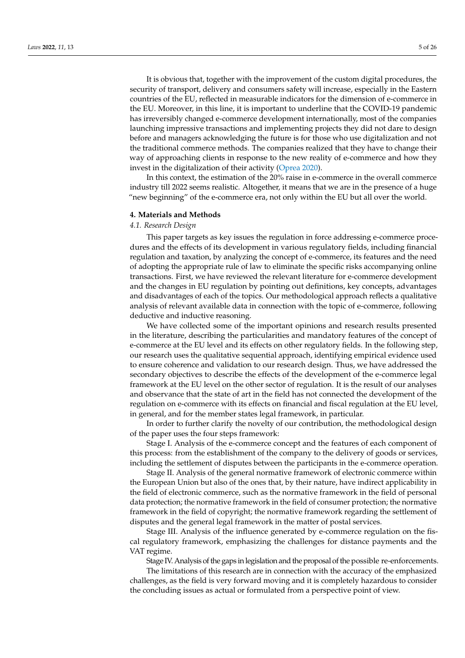It is obvious that, together with the improvement of the custom digital procedures, the security of transport, delivery and consumers safety will increase, especially in the Eastern countries of the EU, reflected in measurable indicators for the dimension of e-commerce in the EU. Moreover, in this line, it is important to underline that the COVID-19 pandemic has irreversibly changed e-commerce development internationally, most of the companies launching impressive transactions and implementing projects they did not dare to design before and managers acknowledging the future is for those who use digitalization and not the traditional commerce methods. The companies realized that they have to change their way of approaching clients in response to the new reality of e-commerce and how they invest in the digitalization of their activity [\(Oprea](#page-24-20) [2020\)](#page-24-20).

In this context, the estimation of the 20% raise in e-commerce in the overall commerce industry till 2022 seems realistic. Altogether, it means that we are in the presence of a huge "new beginning" of the e-commerce era, not only within the EU but all over the world.

#### **4. Materials and Methods**

### *4.1. Research Design*

This paper targets as key issues the regulation in force addressing e-commerce procedures and the effects of its development in various regulatory fields, including financial regulation and taxation, by analyzing the concept of e-commerce, its features and the need of adopting the appropriate rule of law to eliminate the specific risks accompanying online transactions. First, we have reviewed the relevant literature for e-commerce development and the changes in EU regulation by pointing out definitions, key concepts, advantages and disadvantages of each of the topics. Our methodological approach reflects a qualitative analysis of relevant available data in connection with the topic of e-commerce, following deductive and inductive reasoning.

We have collected some of the important opinions and research results presented in the literature, describing the particularities and mandatory features of the concept of e-commerce at the EU level and its effects on other regulatory fields. In the following step, our research uses the qualitative sequential approach, identifying empirical evidence used to ensure coherence and validation to our research design. Thus, we have addressed the secondary objectives to describe the effects of the development of the e-commerce legal framework at the EU level on the other sector of regulation. It is the result of our analyses and observance that the state of art in the field has not connected the development of the regulation on e-commerce with its effects on financial and fiscal regulation at the EU level, in general, and for the member states legal framework, in particular.

In order to further clarify the novelty of our contribution, the methodological design of the paper uses the four steps framework:

Stage I. Analysis of the e-commerce concept and the features of each component of this process: from the establishment of the company to the delivery of goods or services, including the settlement of disputes between the participants in the e-commerce operation.

Stage II. Analysis of the general normative framework of electronic commerce within the European Union but also of the ones that, by their nature, have indirect applicability in the field of electronic commerce, such as the normative framework in the field of personal data protection; the normative framework in the field of consumer protection; the normative framework in the field of copyright; the normative framework regarding the settlement of disputes and the general legal framework in the matter of postal services.

Stage III. Analysis of the influence generated by e-commerce regulation on the fiscal regulatory framework, emphasizing the challenges for distance payments and the VAT regime.

Stage IV. Analysis of the gaps in legislation and the proposal of the possible re-enforcements.

The limitations of this research are in connection with the accuracy of the emphasized challenges, as the field is very forward moving and it is completely hazardous to consider the concluding issues as actual or formulated from a perspective point of view.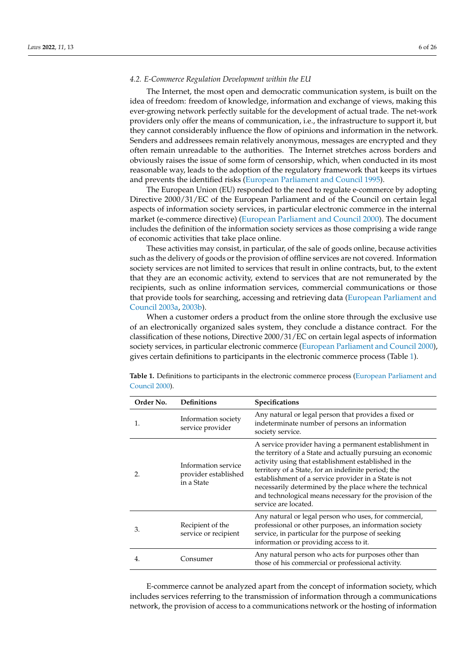## *4.2. E-Commerce Regulation Development within the EU*

The Internet, the most open and democratic communication system, is built on the idea of freedom: freedom of knowledge, information and exchange of views, making this ever-growing network perfectly suitable for the development of actual trade. The net-work providers only offer the means of communication, i.e., the infrastructure to support it, but they cannot considerably influence the flow of opinions and information in the network. Senders and addressees remain relatively anonymous, messages are encrypted and they often remain unreadable to the authorities. The Internet stretches across borders and obviously raises the issue of some form of censorship, which, when conducted in its most reasonable way, leads to the adoption of the regulatory framework that keeps its virtues and prevents the identified risks [\(European Parliament and Council](#page-23-5) [1995\)](#page-23-5).

The European Union (EU) responded to the need to regulate e-commerce by adopting Directive 2000/31/EC of the European Parliament and of the Council on certain legal aspects of information society services, in particular electronic commerce in the internal market (e-commerce directive) [\(European Parliament and Council](#page-23-6) [2000\)](#page-23-6). The document includes the definition of the information society services as those comprising a wide range of economic activities that take place online.

These activities may consist, in particular, of the sale of goods online, because activities such as the delivery of goods or the provision of offline services are not covered. Information society services are not limited to services that result in online contracts, but, to the extent that they are an economic activity, extend to services that are not remunerated by the recipients, such as online information services, commercial communications or those that provide tools for searching, accessing and retrieving data [\(European Parliament and](#page-23-7) [Council](#page-23-7) [2003a,](#page-23-7) [2003b\)](#page-23-8).

When a customer orders a product from the online store through the exclusive use of an electronically organized sales system, they conclude a distance contract. For the classification of these notions, Directive 2000/31/EC on certain legal aspects of information society services, in particular electronic commerce [\(European Parliament and Council](#page-23-6) [2000\)](#page-23-6), gives certain definitions to participants in the electronic commerce process (Table [1\)](#page-5-0).

| Order No. | <b>Definitions</b>                                        | <b>Specifications</b>                                                                                                                                                                                                                                                                                                                                                                                                                         |  |
|-----------|-----------------------------------------------------------|-----------------------------------------------------------------------------------------------------------------------------------------------------------------------------------------------------------------------------------------------------------------------------------------------------------------------------------------------------------------------------------------------------------------------------------------------|--|
| 1.        | Information society<br>service provider                   | Any natural or legal person that provides a fixed or<br>indeterminate number of persons an information<br>society service.                                                                                                                                                                                                                                                                                                                    |  |
| 2.        | Information service<br>provider established<br>in a State | A service provider having a permanent establishment in<br>the territory of a State and actually pursuing an economic<br>activity using that establishment established in the<br>territory of a State, for an indefinite period; the<br>establishment of a service provider in a State is not<br>necessarily determined by the place where the technical<br>and technological means necessary for the provision of the<br>service are located. |  |
| 3.        | Recipient of the<br>service or recipient                  | Any natural or legal person who uses, for commercial,<br>professional or other purposes, an information society<br>service, in particular for the purpose of seeking<br>information or providing access to it.                                                                                                                                                                                                                                |  |
| 4.        | Consumer                                                  | Any natural person who acts for purposes other than<br>those of his commercial or professional activity.                                                                                                                                                                                                                                                                                                                                      |  |

<span id="page-5-0"></span>**Table 1.** Definitions to participants in the electronic commerce process [\(European Parliament and](#page-23-6) [Council](#page-23-6) [2000\)](#page-23-6).

E-commerce cannot be analyzed apart from the concept of information society, which includes services referring to the transmission of information through a communications network, the provision of access to a communications network or the hosting of information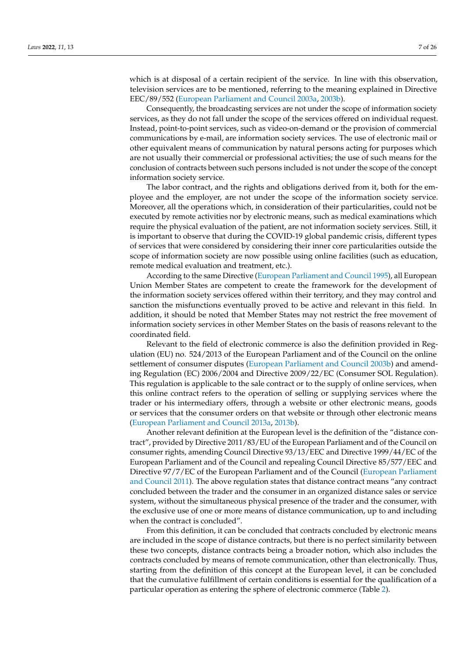which is at disposal of a certain recipient of the service. In line with this observation, television services are to be mentioned, referring to the meaning explained in Directive EEC/89/552 [\(European Parliament and Council](#page-23-7) [2003a,](#page-23-7) [2003b\)](#page-23-8).

Consequently, the broadcasting services are not under the scope of information society services, as they do not fall under the scope of the services offered on individual request. Instead, point-to-point services, such as video-on-demand or the provision of commercial communications by e-mail, are information society services. The use of electronic mail or other equivalent means of communication by natural persons acting for purposes which are not usually their commercial or professional activities; the use of such means for the conclusion of contracts between such persons included is not under the scope of the concept information society service.

The labor contract, and the rights and obligations derived from it, both for the employee and the employer, are not under the scope of the information society service. Moreover, all the operations which, in consideration of their particularities, could not be executed by remote activities nor by electronic means, such as medical examinations which require the physical evaluation of the patient, are not information society services. Still, it is important to observe that during the COVID-19 global pandemic crisis, different types of services that were considered by considering their inner core particularities outside the scope of information society are now possible using online facilities (such as education, remote medical evaluation and treatment, etc.).

According to the same Directive [\(European Parliament and Council](#page-23-5) [1995\)](#page-23-5), all European Union Member States are competent to create the framework for the development of the information society services offered within their territory, and they may control and sanction the misfunctions eventually proved to be active and relevant in this field. In addition, it should be noted that Member States may not restrict the free movement of information society services in other Member States on the basis of reasons relevant to the coordinated field.

Relevant to the field of electronic commerce is also the definition provided in Regulation (EU) no. 524/2013 of the European Parliament and of the Council on the online settlement of consumer disputes [\(European Parliament and Council](#page-23-8) [2003b\)](#page-23-8) and amending Regulation (EC) 2006/2004 and Directive 2009/22/EC (Consumer SOL Regulation). This regulation is applicable to the sale contract or to the supply of online services, when this online contract refers to the operation of selling or supplying services where the trader or his intermediary offers, through a website or other electronic means, goods or services that the consumer orders on that website or through other electronic means [\(European Parliament and Council](#page-23-9) [2013a,](#page-23-9) [2013b\)](#page-23-10).

Another relevant definition at the European level is the definition of the "distance contract", provided by Directive 2011/83/EU of the European Parliament and of the Council on consumer rights, amending Council Directive 93/13/EEC and Directive 1999/44/EC of the European Parliament and of the Council and repealing Council Directive 85/577/EEC and Directive 97/7/EC of the European Parliament and of the Council [\(European Parliament](#page-23-11) [and Council](#page-23-11) [2011\)](#page-23-11). The above regulation states that distance contract means "any contract concluded between the trader and the consumer in an organized distance sales or service system, without the simultaneous physical presence of the trader and the consumer, with the exclusive use of one or more means of distance communication, up to and including when the contract is concluded".

From this definition, it can be concluded that contracts concluded by electronic means are included in the scope of distance contracts, but there is no perfect similarity between these two concepts, distance contracts being a broader notion, which also includes the contracts concluded by means of remote communication, other than electronically. Thus, starting from the definition of this concept at the European level, it can be concluded that the cumulative fulfillment of certain conditions is essential for the qualification of a particular operation as entering the sphere of electronic commerce (Table [2\)](#page-7-0).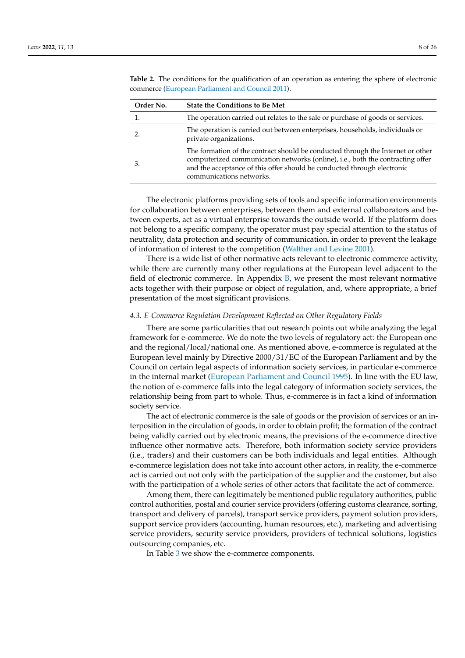| Order No. | <b>State the Conditions to Be Met</b>                                                                                                                                                                                                                                    |  |
|-----------|--------------------------------------------------------------------------------------------------------------------------------------------------------------------------------------------------------------------------------------------------------------------------|--|
|           | The operation carried out relates to the sale or purchase of goods or services.                                                                                                                                                                                          |  |
|           | The operation is carried out between enterprises, households, individuals or<br>private organizations.                                                                                                                                                                   |  |
|           | The formation of the contract should be conducted through the Internet or other<br>computerized communication networks (online), i.e., both the contracting offer<br>and the acceptance of this offer should be conducted through electronic<br>communications networks. |  |

<span id="page-7-0"></span>**Table 2.** The conditions for the qualification of an operation as entering the sphere of electronic commerce [\(European Parliament and Council](#page-23-11) [2011\)](#page-23-11).

The electronic platforms providing sets of tools and specific information environments for collaboration between enterprises, between them and external collaborators and between experts, act as a virtual enterprise towards the outside world. If the platform does not belong to a specific company, the operator must pay special attention to the status of neutrality, data protection and security of communication, in order to prevent the leakage of information of interest to the competition [\(Walther and Levine](#page-25-8) [2001\)](#page-25-8).

There is a wide list of other normative acts relevant to electronic commerce activity, while there are currently many other regulations at the European level adjacent to the field of electronic commerce. In Appendix [B,](#page-21-0) we present the most relevant normative acts together with their purpose or object of regulation, and, where appropriate, a brief presentation of the most significant provisions.

#### *4.3. E-Commerce Regulation Development Reflected on Other Regulatory Fields*

There are some particularities that out research points out while analyzing the legal framework for e-commerce. We do note the two levels of regulatory act: the European one and the regional/local/national one. As mentioned above, e-commerce is regulated at the European level mainly by Directive 2000/31/EC of the European Parliament and by the Council on certain legal aspects of information society services, in particular e-commerce in the internal market [\(European Parliament and Council](#page-23-5) [1995\)](#page-23-5). In line with the EU law, the notion of e-commerce falls into the legal category of information society services, the relationship being from part to whole. Thus, e-commerce is in fact a kind of information society service.

The act of electronic commerce is the sale of goods or the provision of services or an interposition in the circulation of goods, in order to obtain profit; the formation of the contract being validly carried out by electronic means, the previsions of the e-commerce directive influence other normative acts. Therefore, both information society service providers (i.e., traders) and their customers can be both individuals and legal entities. Although e-commerce legislation does not take into account other actors, in reality, the e-commerce act is carried out not only with the participation of the supplier and the customer, but also with the participation of a whole series of other actors that facilitate the act of commerce.

Among them, there can legitimately be mentioned public regulatory authorities, public control authorities, postal and courier service providers (offering customs clearance, sorting, transport and delivery of parcels), transport service providers, payment solution providers, support service providers (accounting, human resources, etc.), marketing and advertising service providers, security service providers, providers of technical solutions, logistics outsourcing companies, etc.

In Table [3](#page-8-0) we show the e-commerce components.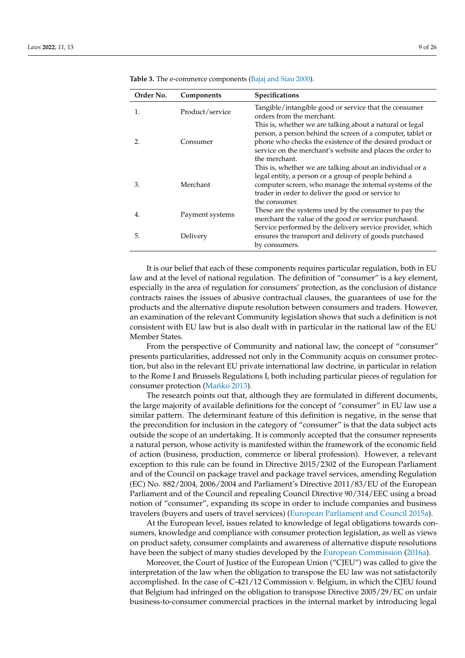| Order No. | Components      | Specifications                                                                                                                                                                                                                                                    |
|-----------|-----------------|-------------------------------------------------------------------------------------------------------------------------------------------------------------------------------------------------------------------------------------------------------------------|
| 1.        | Product/service | Tangible/intangible good or service that the consumer<br>orders from the merchant.                                                                                                                                                                                |
|           | Consumer        | This is, whether we are talking about a natural or legal<br>person, a person behind the screen of a computer, tablet or<br>phone who checks the existence of the desired product or<br>service on the merchant's website and places the order to<br>the merchant. |
| 3.        | Merchant        | This is, whether we are talking about an individual or a<br>legal entity, a person or a group of people behind a<br>computer screen, who manage the internal systems of the<br>trader in order to deliver the good or service to<br>the consumer.                 |
| 4.        | Payment systems | These are the systems used by the consumer to pay the<br>merchant the value of the good or service purchased.                                                                                                                                                     |
| 5.        | Delivery        | Service performed by the delivery service provider, which<br>ensures the transport and delivery of goods purchased<br>by consumers.                                                                                                                               |

<span id="page-8-0"></span>**Table 3.** The e-commerce components [\(Bajaj and Siau](#page-22-3) [2000\)](#page-22-3).

It is our belief that each of these components requires particular regulation, both in EU law and at the level of national regulation. The definition of "consumer" is a key element, especially in the area of regulation for consumers' protection, as the conclusion of distance contracts raises the issues of abusive contractual clauses, the guarantees of use for the products and the alternative dispute resolution between consumers and traders. However, an examination of the relevant Community legislation shows that such a definition is not consistent with EU law but is also dealt with in particular in the national law of the EU Member States.

From the perspective of Community and national law, the concept of "consumer" presents particularities, addressed not only in the Community acquis on consumer protection, but also in the relevant EU private international law doctrine, in particular in relation to the Rome I and Brussels Regulations I, both including particular pieces of regulation for consumer protection (Mańko [2013\)](#page-24-22).

The research points out that, although they are formulated in different documents, the large majority of available definitions for the concept of "consumer" in EU law use a similar pattern. The determinant feature of this definition is negative, in the sense that the precondition for inclusion in the category of "consumer" is that the data subject acts outside the scope of an undertaking. It is commonly accepted that the consumer represents a natural person, whose activity is manifested within the framework of the economic field of action (business, production, commerce or liberal profession). However, a relevant exception to this rule can be found in Directive 2015/2302 of the European Parliament and of the Council on package travel and package travel services, amending Regulation (EC) No. 882/2004, 2006/2004 and Parliament's Directive 2011/83/EU of the European Parliament and of the Council and repealing Council Directive 90/314/EEC using a broad notion of "consumer", expanding its scope in order to include companies and business travelers (buyers and users of travel services) [\(European Parliament and Council](#page-23-12) [2015a\)](#page-23-12).

At the European level, issues related to knowledge of legal obligations towards consumers, knowledge and compliance with consumer protection legislation, as well as views on product safety, consumer complaints and awareness of alternative dispute resolutions have been the subject of many studies developed by the [European Commission](#page-22-4) [\(2016a\)](#page-22-4).

Moreover, the Court of Justice of the European Union ("CJEU") was called to give the interpretation of the law when the obligation to transpose the EU law was not satisfactorily accomplished. In the case of C-421/12 Commission v. Belgium, in which the CJEU found that Belgium had infringed on the obligation to transpose Directive 2005/29/EC on unfair business-to-consumer commercial practices in the internal market by introducing legal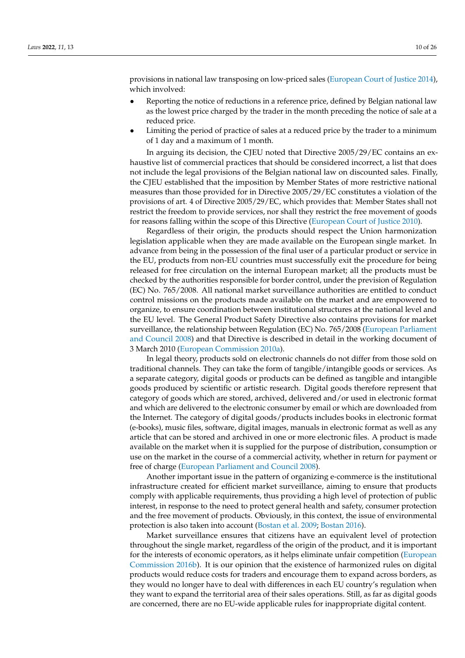provisions in national law transposing on low-priced sales [\(European Court of Justice](#page-23-13) [2014\)](#page-23-13), which involved:

- Reporting the notice of reductions in a reference price, defined by Belgian national law as the lowest price charged by the trader in the month preceding the notice of sale at a reduced price.
- Limiting the period of practice of sales at a reduced price by the trader to a minimum of 1 day and a maximum of 1 month.

In arguing its decision, the CJEU noted that Directive 2005/29/EC contains an exhaustive list of commercial practices that should be considered incorrect, a list that does not include the legal provisions of the Belgian national law on discounted sales. Finally, the CJEU established that the imposition by Member States of more restrictive national measures than those provided for in Directive 2005/29/EC constitutes a violation of the provisions of art. 4 of Directive 2005/29/EC, which provides that: Member States shall not restrict the freedom to provide services, nor shall they restrict the free movement of goods for reasons falling within the scope of this Directive [\(European Court of Justice](#page-22-5) [2010\)](#page-22-5).

Regardless of their origin, the products should respect the Union harmonization legislation applicable when they are made available on the European single market. In advance from being in the possession of the final user of a particular product or service in the EU, products from non-EU countries must successfully exit the procedure for being released for free circulation on the internal European market; all the products must be checked by the authorities responsible for border control, under the prevision of Regulation (EC) No. 765/2008. All national market surveillance authorities are entitled to conduct control missions on the products made available on the market and are empowered to organize, to ensure coordination between institutional structures at the national level and the EU level. The General Product Safety Directive also contains provisions for market surveillance, the relationship between Regulation (EC) No. 765/2008 [\(European Parliament](#page-23-14) [and Council](#page-23-14) [2008\)](#page-23-14) and that Directive is described in detail in the working document of 3 March 2010 [\(European Commission](#page-22-6) [2010a\)](#page-22-6).

In legal theory, products sold on electronic channels do not differ from those sold on traditional channels. They can take the form of tangible/intangible goods or services. As a separate category, digital goods or products can be defined as tangible and intangible goods produced by scientific or artistic research. Digital goods therefore represent that category of goods which are stored, archived, delivered and/or used in electronic format and which are delivered to the electronic consumer by email or which are downloaded from the Internet. The category of digital goods/products includes books in electronic format (e-books), music files, software, digital images, manuals in electronic format as well as any article that can be stored and archived in one or more electronic files. A product is made available on the market when it is supplied for the purpose of distribution, consumption or use on the market in the course of a commercial activity, whether in return for payment or free of charge [\(European Parliament and Council](#page-23-14) [2008\)](#page-23-14).

Another important issue in the pattern of organizing e-commerce is the institutional infrastructure created for efficient market surveillance, aiming to ensure that products comply with applicable requirements, thus providing a high level of protection of public interest, in response to the need to protect general health and safety, consumer protection and the free movement of products. Obviously, in this context, the issue of environmental protection is also taken into account [\(Bostan et al.](#page-22-7) [2009;](#page-22-7) [Bostan](#page-22-8) [2016\)](#page-22-8).

Market surveillance ensures that citizens have an equivalent level of protection throughout the single market, regardless of the origin of the product, and it is important for the interests of economic operators, as it helps eliminate unfair competition [\(European](#page-22-9) [Commission](#page-22-9) [2016b\)](#page-22-9). It is our opinion that the existence of harmonized rules on digital products would reduce costs for traders and encourage them to expand across borders, as they would no longer have to deal with differences in each EU country's regulation when they want to expand the territorial area of their sales operations. Still, as far as digital goods are concerned, there are no EU-wide applicable rules for inappropriate digital content.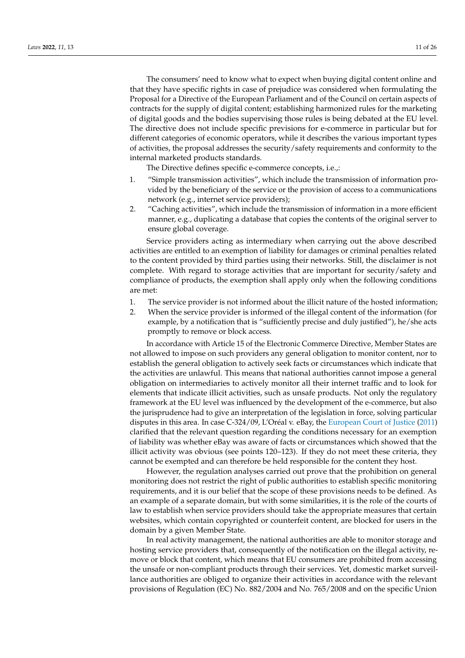The consumers' need to know what to expect when buying digital content online and that they have specific rights in case of prejudice was considered when formulating the Proposal for a Directive of the European Parliament and of the Council on certain aspects of contracts for the supply of digital content; establishing harmonized rules for the marketing of digital goods and the bodies supervising those rules is being debated at the EU level. The directive does not include specific previsions for e-commerce in particular but for different categories of economic operators, while it describes the various important types of activities, the proposal addresses the security/safety requirements and conformity to the internal marketed products standards.

The Directive defines specific e-commerce concepts, i.e.,:

- 1. "Simple transmission activities", which include the transmission of information provided by the beneficiary of the service or the provision of access to a communications network (e.g., internet service providers);
- 2. "Caching activities", which include the transmission of information in a more efficient manner, e.g., duplicating a database that copies the contents of the original server to ensure global coverage.

Service providers acting as intermediary when carrying out the above described activities are entitled to an exemption of liability for damages or criminal penalties related to the content provided by third parties using their networks. Still, the disclaimer is not complete. With regard to storage activities that are important for security/safety and compliance of products, the exemption shall apply only when the following conditions are met:

- 1. The service provider is not informed about the illicit nature of the hosted information;
- 2. When the service provider is informed of the illegal content of the information (for example, by a notification that is "sufficiently precise and duly justified"), he/she acts promptly to remove or block access.

In accordance with Article 15 of the Electronic Commerce Directive, Member States are not allowed to impose on such providers any general obligation to monitor content, nor to establish the general obligation to actively seek facts or circumstances which indicate that the activities are unlawful. This means that national authorities cannot impose a general obligation on intermediaries to actively monitor all their internet traffic and to look for elements that indicate illicit activities, such as unsafe products. Not only the regulatory framework at the EU level was influenced by the development of the e-commerce, but also the jurisprudence had to give an interpretation of the legislation in force, solving particular disputes in this area. In case C-324/09, L'Oréal v. eBay, the [European Court of Justice](#page-22-10) [\(2011\)](#page-22-10) clarified that the relevant question regarding the conditions necessary for an exemption of liability was whether eBay was aware of facts or circumstances which showed that the illicit activity was obvious (see points 120–123). If they do not meet these criteria, they cannot be exempted and can therefore be held responsible for the content they host.

However, the regulation analyses carried out prove that the prohibition on general monitoring does not restrict the right of public authorities to establish specific monitoring requirements, and it is our belief that the scope of these provisions needs to be defined. As an example of a separate domain, but with some similarities, it is the role of the courts of law to establish when service providers should take the appropriate measures that certain websites, which contain copyrighted or counterfeit content, are blocked for users in the domain by a given Member State.

In real activity management, the national authorities are able to monitor storage and hosting service providers that, consequently of the notification on the illegal activity, remove or block that content, which means that EU consumers are prohibited from accessing the unsafe or non-compliant products through their services. Yet, domestic market surveillance authorities are obliged to organize their activities in accordance with the relevant provisions of Regulation (EC) No. 882/2004 and No. 765/2008 and on the specific Union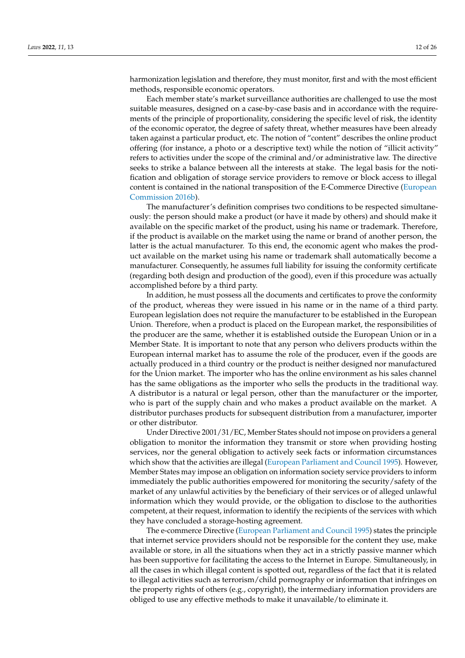harmonization legislation and therefore, they must monitor, first and with the most efficient methods, responsible economic operators.

Each member state's market surveillance authorities are challenged to use the most suitable measures, designed on a case-by-case basis and in accordance with the requirements of the principle of proportionality, considering the specific level of risk, the identity of the economic operator, the degree of safety threat, whether measures have been already taken against a particular product, etc. The notion of "content" describes the online product offering (for instance, a photo or a descriptive text) while the notion of "illicit activity" refers to activities under the scope of the criminal and/or administrative law. The directive seeks to strike a balance between all the interests at stake. The legal basis for the notification and obligation of storage service providers to remove or block access to illegal content is contained in the national transposition of the E-Commerce Directive [\(European](#page-22-9) [Commission](#page-22-9) [2016b\)](#page-22-9).

The manufacturer's definition comprises two conditions to be respected simultaneously: the person should make a product (or have it made by others) and should make it available on the specific market of the product, using his name or trademark. Therefore, if the product is available on the market using the name or brand of another person, the latter is the actual manufacturer. To this end, the economic agent who makes the product available on the market using his name or trademark shall automatically become a manufacturer. Consequently, he assumes full liability for issuing the conformity certificate (regarding both design and production of the good), even if this procedure was actually accomplished before by a third party.

In addition, he must possess all the documents and certificates to prove the conformity of the product, whereas they were issued in his name or in the name of a third party. European legislation does not require the manufacturer to be established in the European Union. Therefore, when a product is placed on the European market, the responsibilities of the producer are the same, whether it is established outside the European Union or in a Member State. It is important to note that any person who delivers products within the European internal market has to assume the role of the producer, even if the goods are actually produced in a third country or the product is neither designed nor manufactured for the Union market. The importer who has the online environment as his sales channel has the same obligations as the importer who sells the products in the traditional way. A distributor is a natural or legal person, other than the manufacturer or the importer, who is part of the supply chain and who makes a product available on the market. A distributor purchases products for subsequent distribution from a manufacturer, importer or other distributor.

Under Directive 2001/31/EC, Member States should not impose on providers a general obligation to monitor the information they transmit or store when providing hosting services, nor the general obligation to actively seek facts or information circumstances which show that the activities are illegal [\(European Parliament and Council](#page-23-5) [1995\)](#page-23-5). However, Member States may impose an obligation on information society service providers to inform immediately the public authorities empowered for monitoring the security/safety of the market of any unlawful activities by the beneficiary of their services or of alleged unlawful information which they would provide, or the obligation to disclose to the authorities competent, at their request, information to identify the recipients of the services with which they have concluded a storage-hosting agreement.

The e-commerce Directive [\(European Parliament and Council](#page-23-5) [1995\)](#page-23-5) states the principle that internet service providers should not be responsible for the content they use, make available or store, in all the situations when they act in a strictly passive manner which has been supportive for facilitating the access to the Internet in Europe. Simultaneously, in all the cases in which illegal content is spotted out, regardless of the fact that it is related to illegal activities such as terrorism/child pornography or information that infringes on the property rights of others (e.g., copyright), the intermediary information providers are obliged to use any effective methods to make it unavailable/to eliminate it.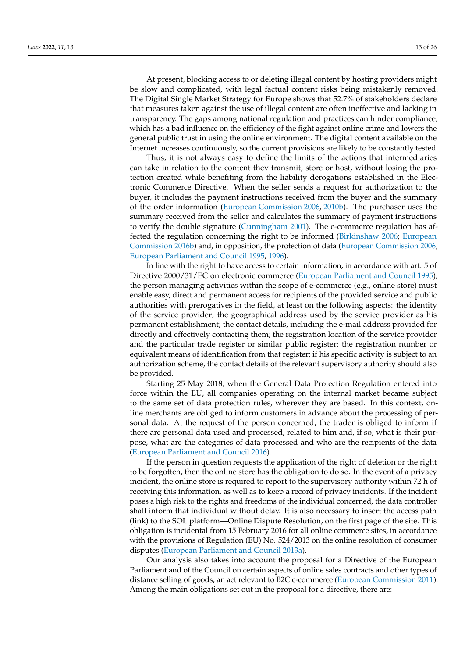At present, blocking access to or deleting illegal content by hosting providers might be slow and complicated, with legal factual content risks being mistakenly removed. The Digital Single Market Strategy for Europe shows that 52.7% of stakeholders declare that measures taken against the use of illegal content are often ineffective and lacking in transparency. The gaps among national regulation and practices can hinder compliance, which has a bad influence on the efficiency of the fight against online crime and lowers the general public trust in using the online environment. The digital content available on the Internet increases continuously, so the current provisions are likely to be constantly tested.

Thus, it is not always easy to define the limits of the actions that intermediaries can take in relation to the content they transmit, store or host, without losing the protection created while benefiting from the liability derogations established in the Electronic Commerce Directive. When the seller sends a request for authorization to the buyer, it includes the payment instructions received from the buyer and the summary of the order information [\(European Commission](#page-22-11) [2006,](#page-22-11) [2010b\)](#page-22-12). The purchaser uses the summary received from the seller and calculates the summary of payment instructions to verify the double signature [\(Cunningham](#page-22-13) [2001\)](#page-22-13). The e-commerce regulation has affected the regulation concerning the right to be informed [\(Birkinshaw](#page-22-14) [2006;](#page-22-14) [European](#page-22-9) [Commission](#page-22-9) [2016b\)](#page-22-9) and, in opposition, the protection of data [\(European Commission](#page-22-11) [2006;](#page-22-11) [European Parliament and Council](#page-23-5) [1995,](#page-23-5) [1996\)](#page-23-15).

In line with the right to have access to certain information, in accordance with art. 5 of Directive 2000/31/EC on electronic commerce [\(European Parliament and Council](#page-23-5) [1995\)](#page-23-5), the person managing activities within the scope of e-commerce (e.g., online store) must enable easy, direct and permanent access for recipients of the provided service and public authorities with prerogatives in the field, at least on the following aspects: the identity of the service provider; the geographical address used by the service provider as his permanent establishment; the contact details, including the e-mail address provided for directly and effectively contacting them; the registration location of the service provider and the particular trade register or similar public register; the registration number or equivalent means of identification from that register; if his specific activity is subject to an authorization scheme, the contact details of the relevant supervisory authority should also be provided.

Starting 25 May 2018, when the General Data Protection Regulation entered into force within the EU, all companies operating on the internal market became subject to the same set of data protection rules, wherever they are based. In this context, online merchants are obliged to inform customers in advance about the processing of personal data. At the request of the person concerned, the trader is obliged to inform if there are personal data used and processed, related to him and, if so, what is their purpose, what are the categories of data processed and who are the recipients of the data [\(European Parliament and Council](#page-23-16) [2016\)](#page-23-16).

If the person in question requests the application of the right of deletion or the right to be forgotten, then the online store has the obligation to do so. In the event of a privacy incident, the online store is required to report to the supervisory authority within 72 h of receiving this information, as well as to keep a record of privacy incidents. If the incident poses a high risk to the rights and freedoms of the individual concerned, the data controller shall inform that individual without delay. It is also necessary to insert the access path (link) to the SOL platform—Online Dispute Resolution, on the first page of the site. This obligation is incidental from 15 February 2016 for all online commerce sites, in accordance with the provisions of Regulation (EU) No. 524/2013 on the online resolution of consumer disputes [\(European Parliament and Council](#page-23-9) [2013a\)](#page-23-9).

Our analysis also takes into account the proposal for a Directive of the European Parliament and of the Council on certain aspects of online sales contracts and other types of distance selling of goods, an act relevant to B2C e-commerce [\(European Commission](#page-22-15) [2011\)](#page-22-15). Among the main obligations set out in the proposal for a directive, there are: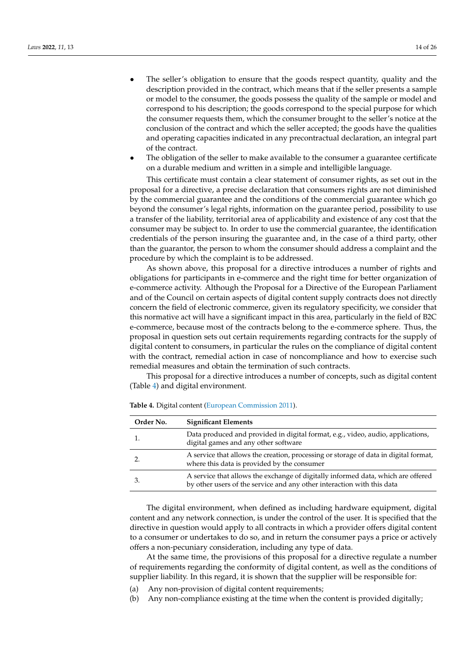- The seller's obligation to ensure that the goods respect quantity, quality and the description provided in the contract, which means that if the seller presents a sample or model to the consumer, the goods possess the quality of the sample or model and correspond to his description; the goods correspond to the special purpose for which the consumer requests them, which the consumer brought to the seller's notice at the conclusion of the contract and which the seller accepted; the goods have the qualities and operating capacities indicated in any precontractual declaration, an integral part of the contract.
- The obligation of the seller to make available to the consumer a guarantee certificate on a durable medium and written in a simple and intelligible language.

This certificate must contain a clear statement of consumer rights, as set out in the proposal for a directive, a precise declaration that consumers rights are not diminished by the commercial guarantee and the conditions of the commercial guarantee which go beyond the consumer's legal rights, information on the guarantee period, possibility to use a transfer of the liability, territorial area of applicability and existence of any cost that the consumer may be subject to. In order to use the commercial guarantee, the identification credentials of the person insuring the guarantee and, in the case of a third party, other than the guarantor, the person to whom the consumer should address a complaint and the procedure by which the complaint is to be addressed.

As shown above, this proposal for a directive introduces a number of rights and obligations for participants in e-commerce and the right time for better organization of e-commerce activity. Although the Proposal for a Directive of the European Parliament and of the Council on certain aspects of digital content supply contracts does not directly concern the field of electronic commerce, given its regulatory specificity, we consider that this normative act will have a significant impact in this area, particularly in the field of B2C e-commerce, because most of the contracts belong to the e-commerce sphere. Thus, the proposal in question sets out certain requirements regarding contracts for the supply of digital content to consumers, in particular the rules on the compliance of digital content with the contract, remedial action in case of noncompliance and how to exercise such remedial measures and obtain the termination of such contracts.

This proposal for a directive introduces a number of concepts, such as digital content (Table [4\)](#page-13-0) and digital environment.

| Order No. | <b>Significant Elements</b>                                                                                                                                |
|-----------|------------------------------------------------------------------------------------------------------------------------------------------------------------|
|           | Data produced and provided in digital format, e.g., video, audio, applications,<br>digital games and any other software                                    |
|           | A service that allows the creation, processing or storage of data in digital format,<br>where this data is provided by the consumer                        |
| 3.        | A service that allows the exchange of digitally informed data, which are offered<br>by other users of the service and any other interaction with this data |

<span id="page-13-0"></span>**Table 4.** Digital content [\(European Commission](#page-22-15) [2011\)](#page-22-15).

The digital environment, when defined as including hardware equipment, digital content and any network connection, is under the control of the user. It is specified that the directive in question would apply to all contracts in which a provider offers digital content to a consumer or undertakes to do so, and in return the consumer pays a price or actively offers a non-pecuniary consideration, including any type of data.

At the same time, the provisions of this proposal for a directive regulate a number of requirements regarding the conformity of digital content, as well as the conditions of supplier liability. In this regard, it is shown that the supplier will be responsible for:

- (a) Any non-provision of digital content requirements;
- (b) Any non-compliance existing at the time when the content is provided digitally;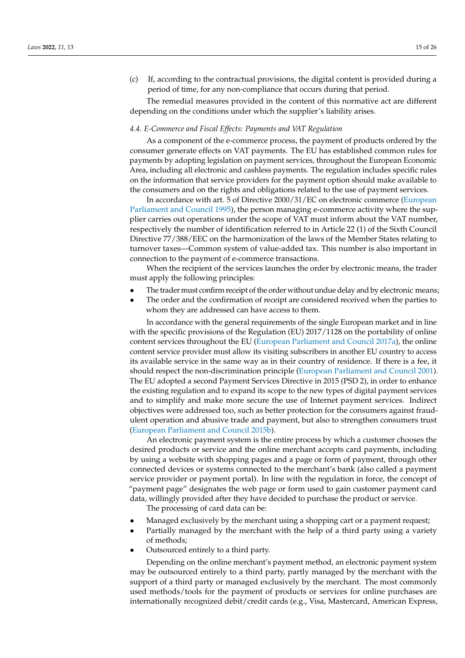(c) If, according to the contractual provisions, the digital content is provided during a period of time, for any non-compliance that occurs during that period.

The remedial measures provided in the content of this normative act are different depending on the conditions under which the supplier's liability arises.

#### *4.4. E-Commerce and Fiscal Effects: Payments and VAT Regulation*

As a component of the e-commerce process, the payment of products ordered by the consumer generate effects on VAT payments. The EU has established common rules for payments by adopting legislation on payment services, throughout the European Economic Area, including all electronic and cashless payments. The regulation includes specific rules on the information that service providers for the payment option should make available to the consumers and on the rights and obligations related to the use of payment services.

In accordance with art. 5 of Directive 2000/31/EC on electronic commerce [\(European](#page-23-5) [Parliament and Council](#page-23-5) [1995\)](#page-23-5), the person managing e-commerce activity where the supplier carries out operations under the scope of VAT must inform about the VAT number, respectively the number of identification referred to in Article 22 (1) of the Sixth Council Directive 77/388/EEC on the harmonization of the laws of the Member States relating to turnover taxes—Common system of value-added tax. This number is also important in connection to the payment of e-commerce transactions.

When the recipient of the services launches the order by electronic means, the trader must apply the following principles:

- The trader must confirm receipt of the order without undue delay and by electronic means;
- The order and the confirmation of receipt are considered received when the parties to whom they are addressed can have access to them.

In accordance with the general requirements of the single European market and in line with the specific provisions of the Regulation (EU) 2017/1128 on the portability of online content services throughout the EU [\(European Parliament and Council](#page-23-17) [2017a\)](#page-23-17), the online content service provider must allow its visiting subscribers in another EU country to access its available service in the same way as in their country of residence. If there is a fee, it should respect the non-discrimination principle [\(European Parliament and Council](#page-23-18) [2001\)](#page-23-18). The EU adopted a second Payment Services Directive in 2015 (PSD 2), in order to enhance the existing regulation and to expand its scope to the new types of digital payment services and to simplify and make more secure the use of Internet payment services. Indirect objectives were addressed too, such as better protection for the consumers against fraudulent operation and abusive trade and payment, but also to strengthen consumers trust [\(European Parliament and Council](#page-23-19) [2015b\)](#page-23-19).

An electronic payment system is the entire process by which a customer chooses the desired products or service and the online merchant accepts card payments, including by using a website with shopping pages and a page or form of payment, through other connected devices or systems connected to the merchant's bank (also called a payment service provider or payment portal). In line with the regulation in force, the concept of "payment page" designates the web page or form used to gain customer payment card data, willingly provided after they have decided to purchase the product or service.

The processing of card data can be:

- Managed exclusively by the merchant using a shopping cart or a payment request;
- Partially managed by the merchant with the help of a third party using a variety of methods;
- Outsourced entirely to a third party.

Depending on the online merchant's payment method, an electronic payment system may be outsourced entirely to a third party, partly managed by the merchant with the support of a third party or managed exclusively by the merchant. The most commonly used methods/tools for the payment of products or services for online purchases are internationally recognized debit/credit cards (e.g., Visa, Mastercard, American Express,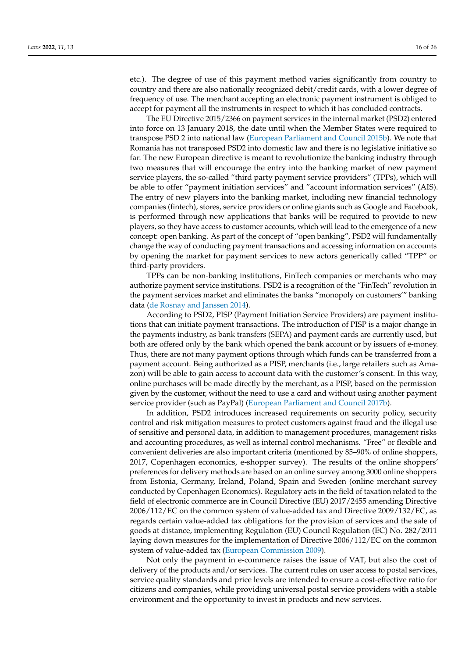etc.). The degree of use of this payment method varies significantly from country to country and there are also nationally recognized debit/credit cards, with a lower degree of frequency of use. The merchant accepting an electronic payment instrument is obliged to accept for payment all the instruments in respect to which it has concluded contracts.

The EU Directive 2015/2366 on payment services in the internal market (PSD2) entered into force on 13 January 2018, the date until when the Member States were required to transpose PSD 2 into national law [\(European Parliament and Council](#page-23-19) [2015b\)](#page-23-19). We note that Romania has not transposed PSD2 into domestic law and there is no legislative initiative so far. The new European directive is meant to revolutionize the banking industry through two measures that will encourage the entry into the banking market of new payment service players, the so-called "third party payment service providers" (TPPs), which will be able to offer "payment initiation services" and "account information services" (AIS). The entry of new players into the banking market, including new financial technology companies (fintech), stores, service providers or online giants such as Google and Facebook, is performed through new applications that banks will be required to provide to new players, so they have access to customer accounts, which will lead to the emergence of a new concept: open banking. As part of the concept of "open banking", PSD2 will fundamentally change the way of conducting payment transactions and accessing information on accounts by opening the market for payment services to new actors generically called "TPP" or third-party providers.

TPPs can be non-banking institutions, FinTech companies or merchants who may authorize payment service institutions. PSD2 is a recognition of the "FinTech" revolution in the payment services market and eliminates the banks "monopoly on customers'" banking data [\(de Rosnay and Janssen](#page-24-23) [2014\)](#page-24-23).

According to PSD2, PISP (Payment Initiation Service Providers) are payment institutions that can initiate payment transactions. The introduction of PISP is a major change in the payments industry, as bank transfers (SEPA) and payment cards are currently used, but both are offered only by the bank which opened the bank account or by issuers of e-money. Thus, there are not many payment options through which funds can be transferred from a payment account. Being authorized as a PISP, merchants (i.e., large retailers such as Amazon) will be able to gain access to account data with the customer's consent. In this way, online purchases will be made directly by the merchant, as a PISP, based on the permission given by the customer, without the need to use a card and without using another payment service provider (such as PayPal) [\(European Parliament and Council](#page-23-20) [2017b\)](#page-23-20).

In addition, PSD2 introduces increased requirements on security policy, security control and risk mitigation measures to protect customers against fraud and the illegal use of sensitive and personal data, in addition to management procedures, management risks and accounting procedures, as well as internal control mechanisms. "Free" or flexible and convenient deliveries are also important criteria (mentioned by 85–90% of online shoppers, 2017, Copenhagen economics, e-shopper survey). The results of the online shoppers' preferences for delivery methods are based on an online survey among 3000 online shoppers from Estonia, Germany, Ireland, Poland, Spain and Sweden (online merchant survey conducted by Copenhagen Economics). Regulatory acts in the field of taxation related to the field of electronic commerce are in Council Directive (EU) 2017/2455 amending Directive 2006/112/EC on the common system of value-added tax and Directive 2009/132/EC, as regards certain value-added tax obligations for the provision of services and the sale of goods at distance, implementing Regulation (EU) Council Regulation (EC) No. 282/2011 laying down measures for the implementation of Directive 2006/112/EC on the common system of value-added tax [\(European Commission](#page-22-16) [2009\)](#page-22-16).

Not only the payment in e-commerce raises the issue of VAT, but also the cost of delivery of the products and/or services. The current rules on user access to postal services, service quality standards and price levels are intended to ensure a cost-effective ratio for citizens and companies, while providing universal postal service providers with a stable environment and the opportunity to invest in products and new services.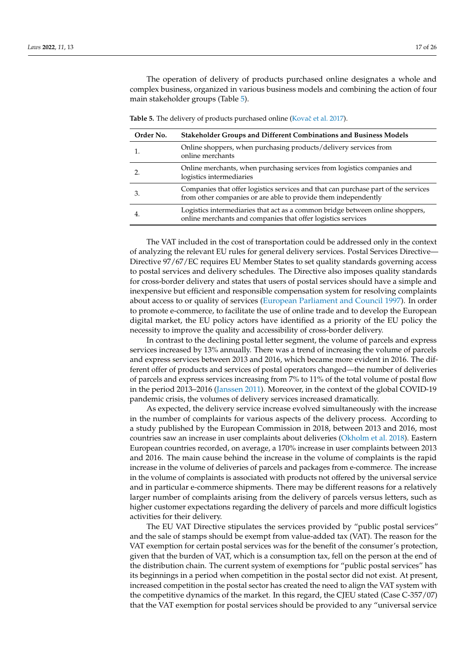The operation of delivery of products purchased online designates a whole and complex business, organized in various business models and combining the action of four main stakeholder groups (Table [5\)](#page-16-0).

<span id="page-16-0"></span>**Table 5.** The delivery of products purchased online (Kovač et al. [2017\)](#page-24-24).

| Order No. | <b>Stakeholder Groups and Different Combinations and Business Models</b>                                                                             |  |
|-----------|------------------------------------------------------------------------------------------------------------------------------------------------------|--|
|           | Online shoppers, when purchasing products/delivery services from<br>online merchants                                                                 |  |
|           | Online merchants, when purchasing services from logistics companies and<br>logistics intermediaries                                                  |  |
| З.        | Companies that offer logistics services and that can purchase part of the services<br>from other companies or are able to provide them independently |  |
|           | Logistics intermediaries that act as a common bridge between online shoppers,<br>online merchants and companies that offer logistics services        |  |

The VAT included in the cost of transportation could be addressed only in the context of analyzing the relevant EU rules for general delivery services. Postal Services Directive— Directive 97/67/EC requires EU Member States to set quality standards governing access to postal services and delivery schedules. The Directive also imposes quality standards for cross-border delivery and states that users of postal services should have a simple and inexpensive but efficient and responsible compensation system for resolving complaints about access to or quality of services [\(European Parliament and Council](#page-23-21) [1997\)](#page-23-21). In order to promote e-commerce, to facilitate the use of online trade and to develop the European digital market, the EU policy actors have identified as a priority of the EU policy the necessity to improve the quality and accessibility of cross-border delivery.

In contrast to the declining postal letter segment, the volume of parcels and express services increased by 13% annually. There was a trend of increasing the volume of parcels and express services between 2013 and 2016, which became more evident in 2016. The different offer of products and services of postal operators changed—the number of deliveries of parcels and express services increasing from 7% to 11% of the total volume of postal flow in the period 2013–2016 [\(Janssen](#page-24-25) [2011\)](#page-24-25). Moreover, in the context of the global COVID-19 pandemic crisis, the volumes of delivery services increased dramatically.

As expected, the delivery service increase evolved simultaneously with the increase in the number of complaints for various aspects of the delivery process. According to a study published by the European Commission in 2018, between 2013 and 2016, most countries saw an increase in user complaints about deliveries [\(Okholm et al.](#page-24-26) [2018\)](#page-24-26). Eastern European countries recorded, on average, a 170% increase in user complaints between 2013 and 2016. The main cause behind the increase in the volume of complaints is the rapid increase in the volume of deliveries of parcels and packages from e-commerce. The increase in the volume of complaints is associated with products not offered by the universal service and in particular e-commerce shipments. There may be different reasons for a relatively larger number of complaints arising from the delivery of parcels versus letters, such as higher customer expectations regarding the delivery of parcels and more difficult logistics activities for their delivery.

The EU VAT Directive stipulates the services provided by "public postal services" and the sale of stamps should be exempt from value-added tax (VAT). The reason for the VAT exemption for certain postal services was for the benefit of the consumer's protection, given that the burden of VAT, which is a consumption tax, fell on the person at the end of the distribution chain. The current system of exemptions for "public postal services" has its beginnings in a period when competition in the postal sector did not exist. At present, increased competition in the postal sector has created the need to align the VAT system with the competitive dynamics of the market. In this regard, the CJEU stated (Case C-357/07) that the VAT exemption for postal services should be provided to any "universal service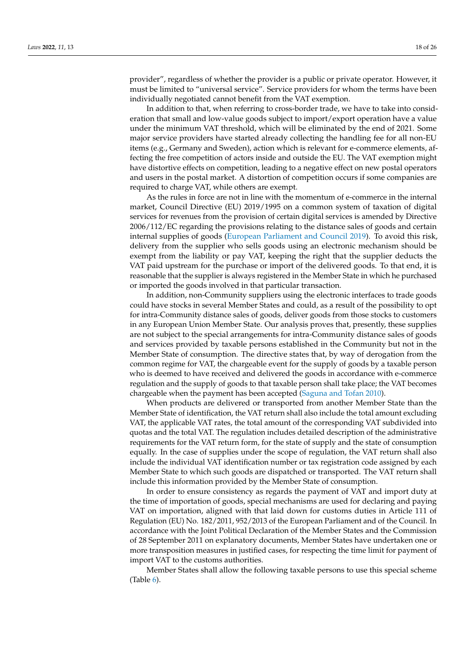provider", regardless of whether the provider is a public or private operator. However, it must be limited to "universal service". Service providers for whom the terms have been individually negotiated cannot benefit from the VAT exemption.

In addition to that, when referring to cross-border trade, we have to take into consideration that small and low-value goods subject to import/export operation have a value under the minimum VAT threshold, which will be eliminated by the end of 2021. Some major service providers have started already collecting the handling fee for all non-EU items (e.g., Germany and Sweden), action which is relevant for e-commerce elements, affecting the free competition of actors inside and outside the EU. The VAT exemption might have distortive effects on competition, leading to a negative effect on new postal operators and users in the postal market. A distortion of competition occurs if some companies are required to charge VAT, while others are exempt.

As the rules in force are not in line with the momentum of e-commerce in the internal market, Council Directive (EU) 2019/1995 on a common system of taxation of digital services for revenues from the provision of certain digital services is amended by Directive 2006/112/EC regarding the provisions relating to the distance sales of goods and certain internal supplies of goods [\(European Parliament and Council](#page-23-22) [2019\)](#page-23-22). To avoid this risk, delivery from the supplier who sells goods using an electronic mechanism should be exempt from the liability or pay VAT, keeping the right that the supplier deducts the VAT paid upstream for the purchase or import of the delivered goods. To that end, it is reasonable that the supplier is always registered in the Member State in which he purchased or imported the goods involved in that particular transaction.

In addition, non-Community suppliers using the electronic interfaces to trade goods could have stocks in several Member States and could, as a result of the possibility to opt for intra-Community distance sales of goods, deliver goods from those stocks to customers in any European Union Member State. Our analysis proves that, presently, these supplies are not subject to the special arrangements for intra-Community distance sales of goods and services provided by taxable persons established in the Community but not in the Member State of consumption. The directive states that, by way of derogation from the common regime for VAT, the chargeable event for the supply of goods by a taxable person who is deemed to have received and delivered the goods in accordance with e-commerce regulation and the supply of goods to that taxable person shall take place; the VAT becomes chargeable when the payment has been accepted [\(Saguna and Tofan](#page-24-27) [2010\)](#page-24-27).

When products are delivered or transported from another Member State than the Member State of identification, the VAT return shall also include the total amount excluding VAT, the applicable VAT rates, the total amount of the corresponding VAT subdivided into quotas and the total VAT. The regulation includes detailed description of the administrative requirements for the VAT return form, for the state of supply and the state of consumption equally. In the case of supplies under the scope of regulation, the VAT return shall also include the individual VAT identification number or tax registration code assigned by each Member State to which such goods are dispatched or transported. The VAT return shall include this information provided by the Member State of consumption.

In order to ensure consistency as regards the payment of VAT and import duty at the time of importation of goods, special mechanisms are used for declaring and paying VAT on importation, aligned with that laid down for customs duties in Article 111 of Regulation (EU) No. 182/2011, 952/2013 of the European Parliament and of the Council. In accordance with the Joint Political Declaration of the Member States and the Commission of 28 September 2011 on explanatory documents, Member States have undertaken one or more transposition measures in justified cases, for respecting the time limit for payment of import VAT to the customs authorities.

Member States shall allow the following taxable persons to use this special scheme (Table [6\)](#page-18-0).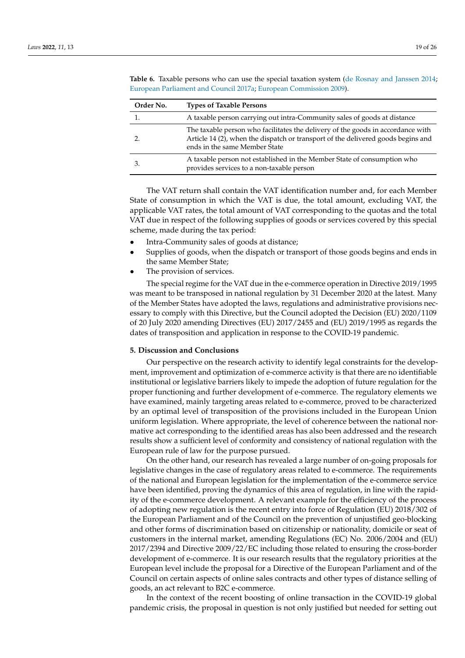| Order No. | <b>Types of Taxable Persons</b>                                                                                                                                                                      |  |
|-----------|------------------------------------------------------------------------------------------------------------------------------------------------------------------------------------------------------|--|
|           | A taxable person carrying out intra-Community sales of goods at distance                                                                                                                             |  |
|           | The taxable person who facilitates the delivery of the goods in accordance with<br>Article 14 (2), when the dispatch or transport of the delivered goods begins and<br>ends in the same Member State |  |
| З.        | A taxable person not established in the Member State of consumption who<br>provides services to a non-taxable person                                                                                 |  |

<span id="page-18-0"></span>**Table 6.** Taxable persons who can use the special taxation system [\(de Rosnay and Janssen](#page-24-23) [2014;](#page-24-23) [European Parliament and Council](#page-23-17) [2017a;](#page-23-17) [European Commission](#page-22-16) [2009\)](#page-22-16).

The VAT return shall contain the VAT identification number and, for each Member State of consumption in which the VAT is due, the total amount, excluding VAT, the applicable VAT rates, the total amount of VAT corresponding to the quotas and the total VAT due in respect of the following supplies of goods or services covered by this special scheme, made during the tax period:

- Intra-Community sales of goods at distance;
- Supplies of goods, when the dispatch or transport of those goods begins and ends in the same Member State;
- The provision of services.

The special regime for the VAT due in the e-commerce operation in Directive 2019/1995 was meant to be transposed in national regulation by 31 December 2020 at the latest. Many of the Member States have adopted the laws, regulations and administrative provisions necessary to comply with this Directive, but the Council adopted the Decision (EU) 2020/1109 of 20 July 2020 amending Directives (EU) 2017/2455 and (EU) 2019/1995 as regards the dates of transposition and application in response to the COVID-19 pandemic.

#### **5. Discussion and Conclusions**

Our perspective on the research activity to identify legal constraints for the development, improvement and optimization of e-commerce activity is that there are no identifiable institutional or legislative barriers likely to impede the adoption of future regulation for the proper functioning and further development of e-commerce. The regulatory elements we have examined, mainly targeting areas related to e-commerce, proved to be characterized by an optimal level of transposition of the provisions included in the European Union uniform legislation. Where appropriate, the level of coherence between the national normative act corresponding to the identified areas has also been addressed and the research results show a sufficient level of conformity and consistency of national regulation with the European rule of law for the purpose pursued.

On the other hand, our research has revealed a large number of on-going proposals for legislative changes in the case of regulatory areas related to e-commerce. The requirements of the national and European legislation for the implementation of the e-commerce service have been identified, proving the dynamics of this area of regulation, in line with the rapidity of the e-commerce development. A relevant example for the efficiency of the process of adopting new regulation is the recent entry into force of Regulation (EU) 2018/302 of the European Parliament and of the Council on the prevention of unjustified geo-blocking and other forms of discrimination based on citizenship or nationality, domicile or seat of customers in the internal market, amending Regulations (EC) No. 2006/2004 and (EU) 2017/2394 and Directive 2009/22/EC including those related to ensuring the cross-border development of e-commerce. It is our research results that the regulatory priorities at the European level include the proposal for a Directive of the European Parliament and of the Council on certain aspects of online sales contracts and other types of distance selling of goods, an act relevant to B2C e-commerce.

In the context of the recent boosting of online transaction in the COVID-19 global pandemic crisis, the proposal in question is not only justified but needed for setting out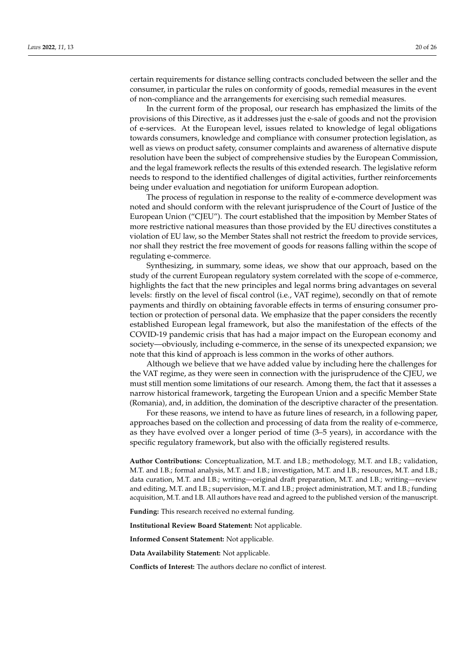certain requirements for distance selling contracts concluded between the seller and the consumer, in particular the rules on conformity of goods, remedial measures in the event of non-compliance and the arrangements for exercising such remedial measures.

In the current form of the proposal, our research has emphasized the limits of the provisions of this Directive, as it addresses just the e-sale of goods and not the provision of e-services. At the European level, issues related to knowledge of legal obligations towards consumers, knowledge and compliance with consumer protection legislation, as well as views on product safety, consumer complaints and awareness of alternative dispute resolution have been the subject of comprehensive studies by the European Commission, and the legal framework reflects the results of this extended research. The legislative reform needs to respond to the identified challenges of digital activities, further reinforcements being under evaluation and negotiation for uniform European adoption.

The process of regulation in response to the reality of e-commerce development was noted and should conform with the relevant jurisprudence of the Court of Justice of the European Union ("CJEU"). The court established that the imposition by Member States of more restrictive national measures than those provided by the EU directives constitutes a violation of EU law, so the Member States shall not restrict the freedom to provide services, nor shall they restrict the free movement of goods for reasons falling within the scope of regulating e-commerce.

Synthesizing, in summary, some ideas, we show that our approach, based on the study of the current European regulatory system correlated with the scope of e-commerce, highlights the fact that the new principles and legal norms bring advantages on several levels: firstly on the level of fiscal control (i.e., VAT regime), secondly on that of remote payments and thirdly on obtaining favorable effects in terms of ensuring consumer protection or protection of personal data. We emphasize that the paper considers the recently established European legal framework, but also the manifestation of the effects of the COVID-19 pandemic crisis that has had a major impact on the European economy and society—obviously, including e-commerce, in the sense of its unexpected expansion; we note that this kind of approach is less common in the works of other authors.

Although we believe that we have added value by including here the challenges for the VAT regime, as they were seen in connection with the jurisprudence of the CJEU, we must still mention some limitations of our research. Among them, the fact that it assesses a narrow historical framework, targeting the European Union and a specific Member State (Romania), and, in addition, the domination of the descriptive character of the presentation.

For these reasons, we intend to have as future lines of research, in a following paper, approaches based on the collection and processing of data from the reality of e-commerce, as they have evolved over a longer period of time (3–5 years), in accordance with the specific regulatory framework, but also with the officially registered results.

**Author Contributions:** Conceptualization, M.T. and I.B.; methodology, M.T. and I.B.; validation, M.T. and I.B.; formal analysis, M.T. and I.B.; investigation, M.T. and I.B.; resources, M.T. and I.B.; data curation, M.T. and I.B.; writing—original draft preparation, M.T. and I.B.; writing—review and editing, M.T. and I.B.; supervision, M.T. and I.B.; project administration, M.T. and I.B.; funding acquisition, M.T. and I.B. All authors have read and agreed to the published version of the manuscript.

**Funding:** This research received no external funding.

**Institutional Review Board Statement:** Not applicable.

**Informed Consent Statement:** Not applicable.

**Data Availability Statement:** Not applicable.

**Conflicts of Interest:** The authors declare no conflict of interest.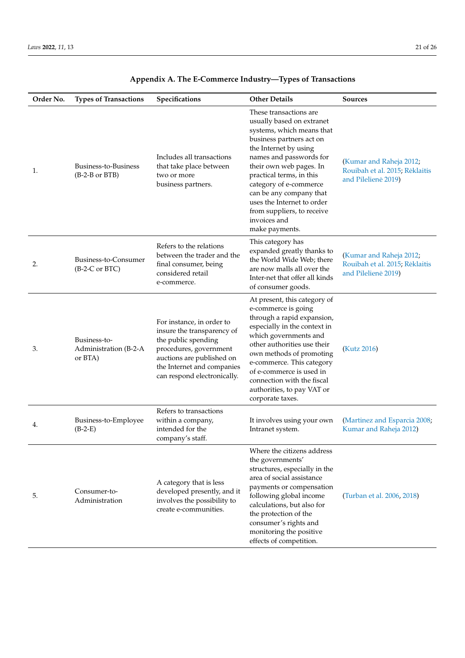| Order No. | <b>Types of Transactions</b>                      | Specifications                                                                                                                                                                                     | <b>Other Details</b>                                                                                                                                                                                                                                                                                                                                                        | <b>Sources</b>                                                                   |
|-----------|---------------------------------------------------|----------------------------------------------------------------------------------------------------------------------------------------------------------------------------------------------------|-----------------------------------------------------------------------------------------------------------------------------------------------------------------------------------------------------------------------------------------------------------------------------------------------------------------------------------------------------------------------------|----------------------------------------------------------------------------------|
| 1.        | Business-to-Business<br>$(B-2-B \text{ or } BTB)$ | Includes all transactions<br>that take place between<br>two or more<br>business partners.                                                                                                          | These transactions are.<br>usually based on extranet<br>systems, which means that<br>business partners act on<br>the Internet by using<br>names and passwords for<br>their own web pages. In<br>practical terms, in this<br>category of e-commerce<br>can be any company that<br>uses the Internet to order<br>from suppliers, to receive<br>invoices and<br>make payments. | (Kumar and Raheja 2012;<br>Rouibah et al. 2015; Reklaitis<br>and Pilelienė 2019) |
| 2.        | Business-to-Consumer<br>$(B-2-C or BTC)$          | Refers to the relations<br>between the trader and the<br>final consumer, being<br>considered retail<br>e-commerce.                                                                                 | This category has<br>expanded greatly thanks to<br>the World Wide Web; there<br>are now malls all over the<br>Inter-net that offer all kinds<br>of consumer goods.                                                                                                                                                                                                          | (Kumar and Raheja 2012;<br>Rouibah et al. 2015; Reklaitis<br>and Pilelienė 2019) |
| 3.        | Business-to-<br>Administration (B-2-A<br>or BTA)  | For instance, in order to<br>insure the transparency of<br>the public spending<br>procedures, government<br>auctions are published on<br>the Internet and companies<br>can respond electronically. | At present, this category of<br>e-commerce is going<br>through a rapid expansion,<br>especially in the context in<br>which governments and<br>other authorities use their<br>own methods of promoting<br>e-commerce. This category<br>of e-commerce is used in<br>connection with the fiscal<br>authorities, to pay VAT or<br>corporate taxes.                              | (Kutz 2016)                                                                      |
| 4.        | Business-to-Employee<br>$(B-2-E)$                 | Refers to transactions<br>within a company,<br>intended for the<br>company's staff.                                                                                                                | It involves using your own<br>Intranet system.                                                                                                                                                                                                                                                                                                                              | (Martinez and Esparcia 2008;<br>Kumar and Raheja 2012)                           |
| 5.        | Consumer-to-<br>Administration                    | A category that is less<br>developed presently, and it<br>involves the possibility to<br>create e-communities.                                                                                     | Where the citizens address<br>the governments'<br>structures, especially in the<br>area of social assistance<br>payments or compensation<br>following global income<br>calculations, but also for<br>the protection of the<br>consumer's rights and<br>monitoring the positive<br>effects of competition.                                                                   | (Turban et al. 2006, 2018)                                                       |

# <span id="page-20-0"></span>**Appendix A. The E-Commerce Industry—Types of Transactions**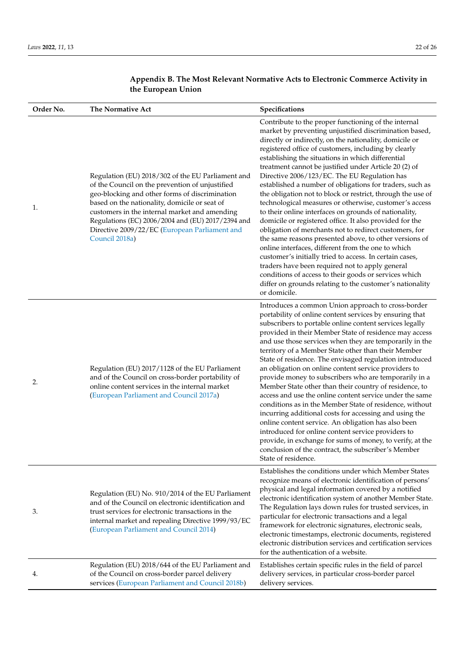| Order No. | The Normative Act                                                                                                                                                                                                                                                                                                                                                                | Specifications                                                                                                                                                                                                                                                                                                                                                                                                                                                                                                                                                                                                                                                                                                                                                                                                                                                                                                                                                                                                                                                                                                                        |
|-----------|----------------------------------------------------------------------------------------------------------------------------------------------------------------------------------------------------------------------------------------------------------------------------------------------------------------------------------------------------------------------------------|---------------------------------------------------------------------------------------------------------------------------------------------------------------------------------------------------------------------------------------------------------------------------------------------------------------------------------------------------------------------------------------------------------------------------------------------------------------------------------------------------------------------------------------------------------------------------------------------------------------------------------------------------------------------------------------------------------------------------------------------------------------------------------------------------------------------------------------------------------------------------------------------------------------------------------------------------------------------------------------------------------------------------------------------------------------------------------------------------------------------------------------|
| 1.        | Regulation (EU) 2018/302 of the EU Parliament and<br>of the Council on the prevention of unjustified<br>geo-blocking and other forms of discrimination<br>based on the nationality, domicile or seat of<br>customers in the internal market and amending<br>Regulations (EC) 2006/2004 and (EU) 2017/2394 and<br>Directive 2009/22/EC (European Parliament and<br>Council 2018a) | Contribute to the proper functioning of the internal<br>market by preventing unjustified discrimination based,<br>directly or indirectly, on the nationality, domicile or<br>registered office of customers, including by clearly<br>establishing the situations in which differential<br>treatment cannot be justified under Article 20 (2) of<br>Directive 2006/123/EC. The EU Regulation has<br>established a number of obligations for traders, such as<br>the obligation not to block or restrict, through the use of<br>technological measures or otherwise, customer's access<br>to their online interfaces on grounds of nationality,<br>domicile or registered office. It also provided for the<br>obligation of merchants not to redirect customers, for<br>the same reasons presented above, to other versions of<br>online interfaces, different from the one to which<br>customer's initially tried to access. In certain cases,<br>traders have been required not to apply general<br>conditions of access to their goods or services which<br>differ on grounds relating to the customer's nationality<br>or domicile. |
| 2.        | Regulation (EU) 2017/1128 of the EU Parliament<br>and of the Council on cross-border portability of<br>online content services in the internal market<br>(European Parliament and Council 2017a)                                                                                                                                                                                 | Introduces a common Union approach to cross-border<br>portability of online content services by ensuring that<br>subscribers to portable online content services legally<br>provided in their Member State of residence may access<br>and use those services when they are temporarily in the<br>territory of a Member State other than their Member<br>State of residence. The envisaged regulation introduced<br>an obligation on online content service providers to<br>provide money to subscribers who are temporarily in a<br>Member State other than their country of residence, to<br>access and use the online content service under the same<br>conditions as in the Member State of residence, without<br>incurring additional costs for accessing and using the<br>online content service. An obligation has also been<br>introduced for online content service providers to<br>provide, in exchange for sums of money, to verify, at the<br>conclusion of the contract, the subscriber's Member<br>State of residence.                                                                                                   |
| 3.        | Regulation (EU) No. 910/2014 of the EU Parliament<br>and of the Council on electronic identification and<br>trust services for electronic transactions in the<br>internal market and repealing Directive 1999/93/EC<br>(European Parliament and Council 2014)                                                                                                                    | Establishes the conditions under which Member States<br>recognize means of electronic identification of persons'<br>physical and legal information covered by a notified<br>electronic identification system of another Member State.<br>The Regulation lays down rules for trusted services, in<br>particular for electronic transactions and a legal<br>framework for electronic signatures, electronic seals,<br>electronic timestamps, electronic documents, registered<br>electronic distribution services and certification services<br>for the authentication of a website.                                                                                                                                                                                                                                                                                                                                                                                                                                                                                                                                                    |
| 4.        | Regulation (EU) 2018/644 of the EU Parliament and<br>of the Council on cross-border parcel delivery<br>services (European Parliament and Council 2018b)                                                                                                                                                                                                                          | Establishes certain specific rules in the field of parcel<br>delivery services, in particular cross-border parcel<br>delivery services.                                                                                                                                                                                                                                                                                                                                                                                                                                                                                                                                                                                                                                                                                                                                                                                                                                                                                                                                                                                               |

<span id="page-21-0"></span>**Appendix B. The Most Relevant Normative Acts to Electronic Commerce Activity in the European Union**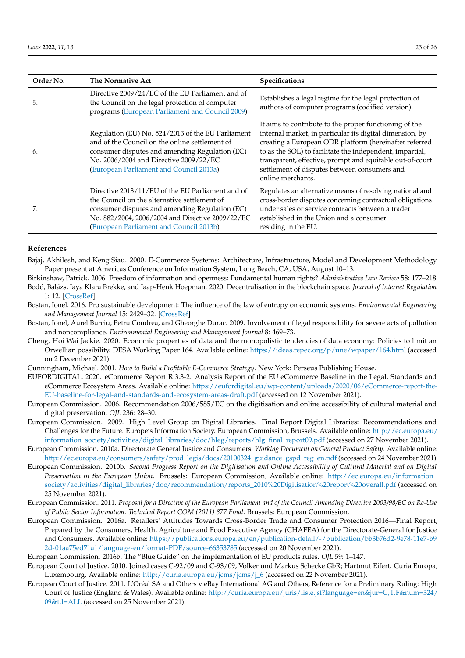| Order No. | The Normative Act                                                                                                                                                                                                                                 | Specifications                                                                                                                                                                                                                                                                                                                                                             |
|-----------|---------------------------------------------------------------------------------------------------------------------------------------------------------------------------------------------------------------------------------------------------|----------------------------------------------------------------------------------------------------------------------------------------------------------------------------------------------------------------------------------------------------------------------------------------------------------------------------------------------------------------------------|
| 5.        | Directive 2009/24/EC of the EU Parliament and of<br>the Council on the legal protection of computer<br>programs (European Parliament and Council 2009)                                                                                            | Establishes a legal regime for the legal protection of<br>authors of computer programs (codified version).                                                                                                                                                                                                                                                                 |
| 6.        | Regulation (EU) No. 524/2013 of the EU Parliament<br>and of the Council on the online settlement of<br>consumer disputes and amending Regulation (EC)<br>No. 2006/2004 and Directive 2009/22/EC<br>(European Parliament and Council 2013a)        | It aims to contribute to the proper functioning of the<br>internal market, in particular its digital dimension, by<br>creating a European ODR platform (hereinafter referred<br>to as the SOL) to facilitate the independent, impartial,<br>transparent, effective, prompt and equitable out-of-court<br>settlement of disputes between consumers and<br>online merchants. |
| 7.        | Directive 2013/11/EU of the EU Parliament and of<br>the Council on the alternative settlement of<br>consumer disputes and amending Regulation (EC)<br>No. 882/2004, 2006/2004 and Directive 2009/22/EC<br>(European Parliament and Council 2013b) | Regulates an alternative means of resolving national and<br>cross-border disputes concerning contractual obligations<br>under sales or service contracts between a trader<br>established in the Union and a consumer<br>residing in the EU.                                                                                                                                |

## **References**

<span id="page-22-3"></span>Bajaj, Akhilesh, and Keng Siau. 2000. E-Commerce Systems: Architecture, Infrastructure, Model and Development Methodology. Paper present at Americas Conference on Information System, Long Beach, CA, USA, August 10–13.

- <span id="page-22-14"></span><span id="page-22-0"></span>Birkinshaw, Patrick. 2006. Freedom of information and openness: Fundamental human rights? *Administrative Law Review* 58: 177–218. Bodó, Balázs, Jaya Klara Brekke, and Jaap-Henk Hoepman. 2020. Decentralisation in the blockchain space. *Journal of Internet Regulation* 1: 12. [\[CrossRef\]](http://doi.org/10.14763/2021.2.1560)
- <span id="page-22-8"></span>Bostan, Ionel. 2016. Pro sustainable development: The influence of the law of entropy on economic systems. *Environmental Engineering and Management Journal* 15: 2429–32. [\[CrossRef\]](http://doi.org/10.30638/eemj.2016.265)
- <span id="page-22-7"></span>Bostan, Ionel, Aurel Burciu, Petru Condrea, and Gheorghe Durac. 2009. Involvement of legal responsibility for severe acts of pollution and noncompliance. *Environmental Engineering and Management Journal* 8: 469–73.
- <span id="page-22-1"></span>Cheng, Hoi Wai Jackie. 2020. Economic properties of data and the monopolistic tendencies of data economy: Policies to limit an Orwellian possibility. DESA Working Paper 164. Available online: <https://ideas.repec.org/p/une/wpaper/164.html> (accessed on 2 December 2021).
- <span id="page-22-13"></span>Cunningham, Michael. 2001. *How to Build a Profitable E-Commerce Strategy*. New York: Perseus Publishing House.
- <span id="page-22-2"></span>EUFORDIGITAL. 2020. eCommerce Report R.3.3-2. Analysis Report of the EU eCommerce Baseline in the Legal, Standards and eCommerce Ecosystem Areas. Available online: [https://eufordigital.eu/wp-content/uploads/2020/06/eCommerce-report-the-](https://eufordigital.eu/wp-content/uploads/2020/06/eCommerce-report-the-EU-baseline-for-legal-and-standards-and-ecosystem-areas-draft.pdf)[EU-baseline-for-legal-and-standards-and-ecosystem-areas-draft.pdf](https://eufordigital.eu/wp-content/uploads/2020/06/eCommerce-report-the-EU-baseline-for-legal-and-standards-and-ecosystem-areas-draft.pdf) (accessed on 12 November 2021).
- <span id="page-22-11"></span>European Commission. 2006. Recommendation 2006/585/EC on the digitisation and online accessibility of cultural material and digital preservation. *OJL* 236: 28–30.
- <span id="page-22-16"></span>European Commission. 2009. High Level Group on Digital Libraries. Final Report Digital Libraries: Recommendations and Challenges for the Future. Europe's Information Society. European Commission, Brussels. Available online: [http://ec.europa.eu/](http://ec.europa.eu/information_society/activities/digital_libraries/doc/hleg/reports/hlg_final_report09.pdf) [information\\_society/activities/digital\\_libraries/doc/hleg/reports/hlg\\_final\\_report09.pdf](http://ec.europa.eu/information_society/activities/digital_libraries/doc/hleg/reports/hlg_final_report09.pdf) (accessed on 27 November 2021).
- <span id="page-22-6"></span>European Commission. 2010a. Directorate General Justice and Consumers. *Working Document on General Product Safety*. Available online: [http://ec.europa.eu/consumers/safety/prod\\_legis/docs/20100324\\_guidance\\_gspd\\_reg\\_en.pdf](http://ec.europa.eu/consumers/safety/prod_legis/docs/20100324_guidance_gspd_reg_en.pdf) (accessed on 24 November 2021).
- <span id="page-22-12"></span>European Commission. 2010b. *Second Progress Report on the Digitisation and Online Accessibility of Cultural Material and on Digital Preservation in the European Union*. Brussels: European Commission, Available online: [http://ec.europa.eu/information\\_](http://ec.europa.eu/information_society/activities/digital_libraries/doc/recommendation/reports_2010%20Digitisation%20report%20overall.pdf) [society/activities/digital\\_libraries/doc/recommendation/reports\\_2010%20Digitisation%20report%20overall.pdf](http://ec.europa.eu/information_society/activities/digital_libraries/doc/recommendation/reports_2010%20Digitisation%20report%20overall.pdf) (accessed on 25 November 2021).
- <span id="page-22-15"></span>European Commission. 2011. *Proposal for a Directive of the European Parliament and of the Council Amending Directive 2003/98/EC on Re-Use of Public Sector Information. Technical Report COM (2011) 877 Final*. Brussels: European Commission.
- <span id="page-22-4"></span>European Commission. 2016a. Retailers' Attitudes Towards Cross-Border Trade and Consumer Protection 2016—Final Report, Prepared by the Consumers, Health, Agriculture and Food Executive Agency (CHAFEA) for the Directorate-General for Justice and Consumers. Available online: [https://publications.europa.eu/en/publication-detail/-/publication/bb3b76d2-9e78-11e7-b9](https://publications.europa.eu/en/publication-detail/-/publication/bb3b76d2-9e78-11e7-b92d-01aa75ed71a1/language-en/format-PDF/source-66353785) [2d-01aa75ed71a1/language-en/format-PDF/source-66353785](https://publications.europa.eu/en/publication-detail/-/publication/bb3b76d2-9e78-11e7-b92d-01aa75ed71a1/language-en/format-PDF/source-66353785) (accessed on 20 November 2021).
- <span id="page-22-9"></span>European Commission. 2016b. The "Blue Guide" on the implementation of EU products rules. *OJL* 59: 1–147.
- <span id="page-22-5"></span>European Court of Justice. 2010. Joined cases C-92/09 and C-93/09, Volker und Markus Schecke GbR; Hartmut Eifert. Curia Europa, Luxembourg. Available online: [http://curia.europa.eu/jcms/jcms/j\\_6](http://curia.europa.eu/jcms/jcms/j_6) (accessed on 22 November 2021).
- <span id="page-22-10"></span>European Court of Justice. 2011. L'Oréal SA and Others v eBay International AG and Others, Reference for a Preliminary Ruling: High Court of Justice (England & Wales). Available online: [http://curia.europa.eu/juris/liste.jsf?language=en&jur=C,T,F&num=324/](http://curia.europa.eu/juris/liste.jsf?language=en&jur=C,T,F&num=324/09&td=ALL) [09&td=ALL](http://curia.europa.eu/juris/liste.jsf?language=en&jur=C,T,F&num=324/09&td=ALL) (accessed on 25 November 2021).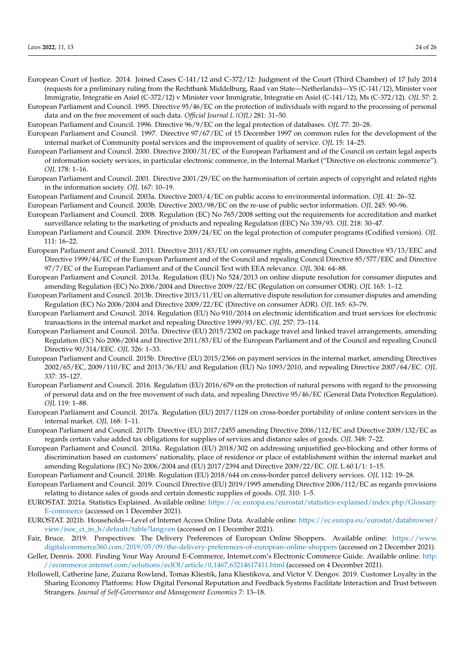- <span id="page-23-13"></span>European Court of Justice. 2014. Joined Cases C-141/12 and C-372/12: Judgment of the Court (Third Chamber) of 17 July 2014 (requests for a preliminary ruling from the Rechtbank Middelburg, Raad van State—Netherlands)—YS (C-141/12), Minister voor Immigratie, Integratie en Asiel (C-372/12) v Minister voor Immigratie, Integratie en Asiel (C-141/12), Ms (C-372/12). *OJL* 57: 2.
- <span id="page-23-5"></span>European Parliament and Council. 1995. Directive 95/46/EC on the protection of individuals with regard to the processing of personal data and on the free movement of such data. *Official Journal L (OJL)* 281: 31–50.

<span id="page-23-15"></span>European Parliament and Council. 1996. Directive 96/9/EC on the legal protection of databases. *OJL* 77: 20–28.

- <span id="page-23-21"></span>European Parliament and Council. 1997. Directive 97/67/EC of 15 December 1997 on common rules for the development of the internal market of Community postal services and the improvement of quality of service. *OJL* 15: 14–25.
- <span id="page-23-6"></span>European Parliament and Council. 2000. Directive 2000/31/EC of the European Parliament and of the Council on certain legal aspects of information society services, in particular electronic commerce, in the Internal Market ("Directive on electronic commerce"). *OJL* 178: 1–16.
- <span id="page-23-18"></span>European Parliament and Council. 2001. Directive 2001/29/EC on the harmonisation of certain aspects of copyright and related rights in the information society. *OJL* 167: 10–19.
- <span id="page-23-7"></span>European Parliament and Council. 2003a. Directive 2003/4/EC on public access to environmental information. *OJL* 41: 26–32.
- <span id="page-23-14"></span><span id="page-23-8"></span>European Parliament and Council. 2003b. Directive 2003/98/EC on the re-use of public sector information. *OJL* 245: 90–96.
- European Parliament and Council. 2008. Regulation (EC) No 765/2008 setting out the requirements for accreditation and market surveillance relating to the marketing of products and repealing Regulation (EEC) No 339/93. *OJL* 218: 30–47.
- <span id="page-23-26"></span>European Parliament and Council. 2009. Directive 2009/24/EC on the legal protection of computer programs (Codified version). *OJL* 111: 16–22.
- <span id="page-23-11"></span>European Parliament and Council. 2011. Directive 2011/83/EU on consumer rights, amending Council Directive 93/13/EEC and Directive 1999/44/EC of the European Parliament and of the Council and repealing Council Directive 85/577/EEC and Directive 97/7/EC of the European Parliament and of the Council Text with EEA relevance. *OJL* 304: 64–88.
- <span id="page-23-9"></span>European Parliament and Council. 2013a. Regulation (EU) No 524/2013 on online dispute resolution for consumer disputes and amending Regulation (EC) No 2006/2004 and Directive 2009/22/EC (Regulation on consumer ODR). *OJL* 165: 1–12.
- <span id="page-23-10"></span>European Parliament and Council. 2013b. Directive 2013/11/EU on alternative dispute resolution for consumer disputes and amending Regulation (EC) No 2006/2004 and Directive 2009/22/EC (Directive on consumer ADR). *OJL* 165: 63–79.
- <span id="page-23-24"></span>European Parliament and Council. 2014. Regulation (EU) No 910/2014 on electronic identification and trust services for electronic transactions in the internal market and repealing Directive 1999/93/EC. *OJL* 257: 73–114.
- <span id="page-23-12"></span>European Parliament and Council. 2015a. Directive (EU) 2015/2302 on package travel and linked travel arrangements, amending Regulation (EC) No 2006/2004 and Directive 2011/83/EU of the European Parliament and of the Council and repealing Council Directive 90/314/EEC. *OJL* 326: 1–33.
- <span id="page-23-19"></span>European Parliament and Council. 2015b. Directive (EU) 2015/2366 on payment services in the internal market, amending Directives 2002/65/EC, 2009/110/EC and 2013/36/EU and Regulation (EU) No 1093/2010, and repealing Directive 2007/64/EC. *OJL* 337: 35–127.
- <span id="page-23-16"></span>European Parliament and Council. 2016. Regulation (EU) 2016/679 on the protection of natural persons with regard to the processing of personal data and on the free movement of such data, and repealing Directive 95/46/EC (General Data Protection Regulation). *OJL* 119: 1–88.
- <span id="page-23-17"></span>European Parliament and Council. 2017a. Regulation (EU) 2017/1128 on cross-border portability of online content services in the internal market. *OJL* 168: 1–11.
- <span id="page-23-20"></span>European Parliament and Council. 2017b. Directive (EU) 2017/2455 amending Directive 2006/112/EC and Directive 2009/132/EC as regards certain value added tax obligations for supplies of services and distance sales of goods. *OJL* 348: 7–22.
- <span id="page-23-23"></span>European Parliament and Council. 2018a. Regulation (EU) 2018/302 on addressing unjustified geo-blocking and other forms of discrimination based on customers' nationality, place of residence or place of establishment within the internal market and amending Regulations (EC) No 2006/2004 and (EU) 2017/2394 and Directive 2009/22/EC. *OJL* L 60 I/1: 1–15.
- <span id="page-23-25"></span>European Parliament and Council. 2018b. Regulation (EU) 2018/644 on cross-border parcel delivery services. *OJL* 112: 19–28.
- <span id="page-23-22"></span>European Parliament and Council. 2019. Council Directive (EU) 2019/1995 amending Directive 2006/112/EC as regards provisions relating to distance sales of goods and certain domestic supplies of goods. *OJL* 310: 1–5.
- <span id="page-23-1"></span>EUROSTAT. 2021a. Statistics Explained. Available online: [https://ec.europa.eu/eurostat/statistics-explained/index.php/Glossary:](https://ec.europa.eu/eurostat/statistics-explained/index.php/Glossary:E-commerce) [E-commerce](https://ec.europa.eu/eurostat/statistics-explained/index.php/Glossary:E-commerce) (accessed on 1 December 2021).
- <span id="page-23-4"></span>EUROSTAT. 2021b. Households—Level of Internet Access Online Data. Available online: [https://ec.europa.eu/eurostat/databrowser/](https://ec.europa.eu/eurostat/databrowser/view/isoc_ci_in_h/default/table?lang=en) [view/isoc\\_ci\\_in\\_h/default/table?lang=en](https://ec.europa.eu/eurostat/databrowser/view/isoc_ci_in_h/default/table?lang=en) (accessed on 1 December 2021).
- <span id="page-23-3"></span>Fair, Bruce. 2019. Perspectives: The Delivery Preferences of European Online Shoppers. Available online: [https://www.](https://www.digitalcommerce360.com/2019/05/09/the-delivery-preferences-of-european-online-shoppers) [digitalcommerce360.com/2019/05/09/the-delivery-preferences-of-european-online-shoppers](https://www.digitalcommerce360.com/2019/05/09/the-delivery-preferences-of-european-online-shoppers) (accessed on 2 December 2021).
- <span id="page-23-0"></span>Geller, Dennis. 2000. Finding Your Way Around E-Commerce, Intemet.com's Electronic Commerce Guide. Available online: [http:](http://ecommerce.intemet.com/solutions/eclOl/article/0,1467,63214617411.html) [//ecommerce.intemet.com/solutions/eclOl/article/0,1467,63214617411.html](http://ecommerce.intemet.com/solutions/eclOl/article/0,1467,63214617411.html) (accessed on 4 December 2021).
- <span id="page-23-2"></span>Hollowell, Catherine Jane, Zuzana Rowland, Tomas Kliestik, Jana Kliestikova, and Victor V. Dengov. 2019. Customer Loyalty in the Sharing Economy Platforms: How Digital Personal Reputation and Feedback Systems Facilitate Interaction and Trust between Strangers. *Journal of Self-Governance and Management Economics* 7: 13–18.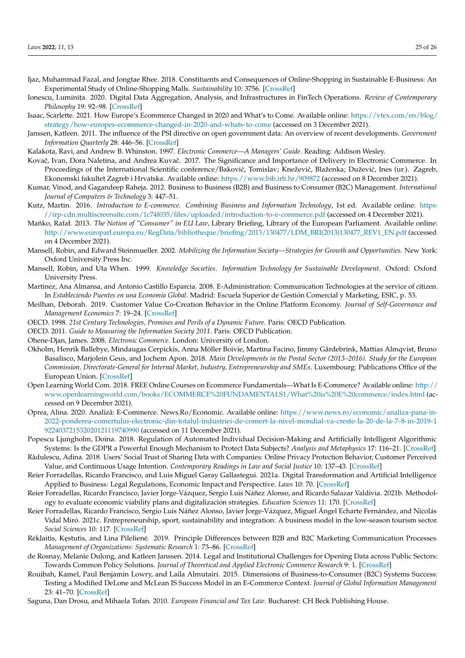- <span id="page-24-15"></span>Ijaz, Muhammad Fazal, and Jongtae Rhee. 2018. Constituents and Consequences of Online-Shopping in Sustainable E-Business: An Experimental Study of Online-Shopping Malls. *Sustainability* 10: 3756. [\[CrossRef\]](http://doi.org/10.3390/su10103756)
- <span id="page-24-17"></span>Ionescu, Luminit,a. 2020. Digital Data Aggregation, Analysis, and Infrastructures in FinTech Operations. *Review of Contemporary Philosophy* 19: 92–98. [\[CrossRef\]](http://doi.org/10.22381/RCP19202010)
- <span id="page-24-21"></span>Isaac, Scarlette. 2021. How Europe's Ecommerce Changed in 2020 and What's to Come. Available online: [https://vtex.com/en/blog/](https://vtex.com/en/blog/strategy/how-europes-ecommerce-changed-in-2020-and-whats-to-come) [strategy/how-europes-ecommerce-changed-in-2020-and-whats-to-come](https://vtex.com/en/blog/strategy/how-europes-ecommerce-changed-in-2020-and-whats-to-come) (accessed on 3 December 2021).
- <span id="page-24-25"></span>Janssen, Katleen. 2011. The influence of the PSI directive on open government data: An overview of recent developments. *Government Information Quarterly* 28: 446–56. [\[CrossRef\]](http://doi.org/10.1016/j.giq.2011.01.004)
- <span id="page-24-6"></span>Kalakota, Ravi, and Andrew B. Whinston. 1997. *Electronic Commerce—A Managers' Guide*. Reading: Addison Wesley.
- <span id="page-24-24"></span>Kovač, Ivan, Dora Naletina, and Andrea Kuvač. 2017. The Significance and Importance of Delivery in Electronic Commerce. In Proceedings of the International Scientific conference/Baković, Tomislav; Knežević, Blaženka; Dužević, Ines (ur.). Zagreb, Ekonomski fakultet Zagreb i Hrvatska. Available online: <https://www.bib.irb.hr/909872> (accessed on 8 December 2021).
- <span id="page-24-11"></span>Kumar, Vinod, and Gagandeep Raheja. 2012. Business to Business (B2B) and Business to Consumer (B2C) Management. *International Journal of Computers & Technology* 3: 447–51.
- <span id="page-24-5"></span>Kutz, Martin. 2016. *Introduction to E-commerce. Combining Business and Information Technology*, 1st ed. Available online: [https:](https://irp-cdn.multiscreensite.com/1c74f035/files/uploaded/introduction-to-e-commerce.pdf) [//irp-cdn.multiscreensite.com/1c74f035/files/uploaded/introduction-to-e-commerce.pdf](https://irp-cdn.multiscreensite.com/1c74f035/files/uploaded/introduction-to-e-commerce.pdf) (accessed on 4 December 2021).
- <span id="page-24-22"></span>Mańko, Rafał. 2013. *The Notion of "Consumer" in EU Law*, Library Briefing, Library of the European Parliament. Available online: [http://www.europarl.europa.eu/RegData/bibliotheque/briefing/2013/130477/LDM\\_BRI\(2013\)130477\\_REV1\\_EN.pdf](http://www.europarl.europa.eu/RegData/bibliotheque/briefing/2013/130477/LDM_BRI(2013)130477_REV1_EN.pdf) (accessed on 4 December 2021).
- <span id="page-24-7"></span>Mansell, Robin, and Edward Steinmueller. 2002. *Mobilizing the Information Society—Strategies for Growth and Opportunities*. New York: Oxford University Press Inc.
- <span id="page-24-4"></span>Mansell, Robin, and Uta When. 1999. *Knowledge Societies. Information Technology for Sustainable Development*. Oxford: Oxford University Press.
- <span id="page-24-14"></span>Martinez, Ana Almansa, and Antonio Castillo Esparcia. 2008. E-Administration: Communication Technologies at the service of citizen. In *Estableciendo Puentes en una Economía Global*. Madrid: Escuela Superior de Gestión Comercial y Marketing, ESIC, p. 53.
- <span id="page-24-16"></span>Meilhan, Deborah. 2019. Customer Value Co-Creation Behavior in the Online Platform Economy. *Journal of Self-Governance and Management Economics* 7: 19–24. [\[CrossRef\]](http://doi.org/10.22381/JSME7120193x)
- <span id="page-24-0"></span>OECD. 1998. *21st Century Technologies, Promises and Perils of a Dynamic Future*. Paris: OECD Publication.
- <span id="page-24-10"></span>OECD. 2011. *Guide to Measuring the Information Society 2011*. Paris: OECD Publication.
- <span id="page-24-26"></span><span id="page-24-9"></span>Ohene-Djan, James. 2008. *Electronic Commerce*. London: University of London.
- Okholm, Henrik Ballebye, Mindaugas Cerpickis, Anna Möller Boivie, Martina Facino, Jimmy Gårdebrink, Mattias Almqvist, Bruno Basalisco, Marjolein Geus, and Jochem Apon. 2018. *Main Developments in the Postal Sector (2013–2016). Study for the European Commission, Directorate-General for Internal Market, Industry, Entrepreneurship and SMEs*. Luxembourg: Publications Office of the European Union. [\[CrossRef\]](http://doi.org/10.2873/51951)
- <span id="page-24-8"></span>Open Learning World Com. 2018. FREE Online Courses on Ecommerce Fundamentals—What Is E-Commerce? Available online: [http://](http://www.openlearningworld.com/books/ECOMMERCE%20FUNDAMENTALS1/What%20is%20E%20commerce/index.html) [www.openlearningworld.com/books/ECOMMERCE%20FUNDAMENTALS1/What%20is%20E%20commerce/index.html](http://www.openlearningworld.com/books/ECOMMERCE%20FUNDAMENTALS1/What%20is%20E%20commerce/index.html) (accessed on 9 December 2021).
- <span id="page-24-20"></span>Oprea, Alina. 2020. Analiză: E-Commerce. News.Ro/Economic. Available online: [https://www.news.ro/economic/analiza-pana-in-](https://www.news.ro/economic/analiza-pana-in-2022-ponderea-comertului-electronic-din-totalul-industriei-de-comert-la-nivel-mondial-va-creste-la-20-de-la-7-8-in-2019-1922403721532020121119740990)[2022-ponderea-comertului-electronic-din-totalul-industriei-de-comert-la-nivel-mondial-va-creste-la-20-de-la-7-8-in-2019-1](https://www.news.ro/economic/analiza-pana-in-2022-ponderea-comertului-electronic-din-totalul-industriei-de-comert-la-nivel-mondial-va-creste-la-20-de-la-7-8-in-2019-1922403721532020121119740990) [922403721532020121119740990](https://www.news.ro/economic/analiza-pana-in-2022-ponderea-comertului-electronic-din-totalul-industriei-de-comert-la-nivel-mondial-va-creste-la-20-de-la-7-8-in-2019-1922403721532020121119740990) (accessed on 11 December 2021).
- <span id="page-24-19"></span>Popescu Ljungholm, Doina. 2018. Regulation of Automated Individual Decision-Making and Artificially Intelligent Algorithmic Systems: Is the GDPR a Powerful Enough Mechanism to Protect Data Subjects? *Analysis and Metaphysics* 17: 116–21. [\[CrossRef\]](http://doi.org/10.22381/AM1720185)
- <span id="page-24-18"></span>Rădulescu, Adina. 2018. Users' Social Trust of Sharing Data with Companies: Online Privacy Protection Behavior, Customer Perceived Value, and Continuous Usage Intention. *Contemporary Readings in Law and Social Justice* 10: 137–43. [\[CrossRef\]](http://doi.org/10.22381/CRLSJ10120187)
- <span id="page-24-1"></span>Reier Forradellas, Ricardo Francisco, and Luis Miguel Garay Gallastegui. 2021a. Digital Transformation and Artificial Intelligence Applied to Business: Legal Regulations, Economic Impact and Perspective. *Laws* 10: 70. [\[CrossRef\]](http://doi.org/10.3390/laws10030070)
- <span id="page-24-2"></span>Reier Forradellas, Ricardo Francisco, Javier Jorge-Vázquez, Sergio Luis Náñez Alonso, and Ricardo Salazar Valdivia. 2021b. Methodology to evaluate economic viability plans and digitalización strategies. *Education Sciences* 11: 170. [\[CrossRef\]](http://doi.org/10.3390/educsci11040170)
- <span id="page-24-3"></span>Reier Forradellas, Ricardo Francisco, Sergio Luis Náñez Alonso, Javier Jorge-Vázquez, Miguel Ángel Echarte Fernández, and Nicolás Vidal Miró. 2021c. Entrepreneurship, sport, sustainability and integration: A business model in the low-season tourism sector. *Social Sciences* 10: 117. [\[CrossRef\]](http://doi.org/10.3390/socsci10040117)
- <span id="page-24-13"></span>Reklaitis, Kestutis, and Lina Pileliene. 2019. Principle Differences between B2B and B2C Marketing Communication Processes. *Management of Organizations: Systematic Research* 1: 73–86. [\[CrossRef\]](http://doi.org/10.1515/mosr-2019-0005)
- <span id="page-24-23"></span>de Rosnay, Melanie Dulong, and Katleen Janssen. 2014. Legal and Institutional Challenges for Opening Data across Public Sectors: Towards Common Policy Solutions. *Journal of Theoretical and Applied Electronic Commerce Research* 9: 1. [\[CrossRef\]](http://doi.org/10.4067/S0718-18762014000300002)
- <span id="page-24-12"></span>Rouibah, Kamel, Paul Benjamin Lowry, and Laila Almutairi. 2015. Dimensions of Business-to-Consumer (B2C) Systems Success: Testing a Modified DeLone and McLean IS Success Model in an E-Commerce Context. *Journal of Global Information Management* 23: 41–70. [\[CrossRef\]](http://doi.org/10.4018/JGIM.2015070103)
- <span id="page-24-27"></span>Saguna, Dan Drosu, and Mihaela Tofan. 2010. *European Financial and Tax Law*. Bucharest: CH Beck Publishing House.